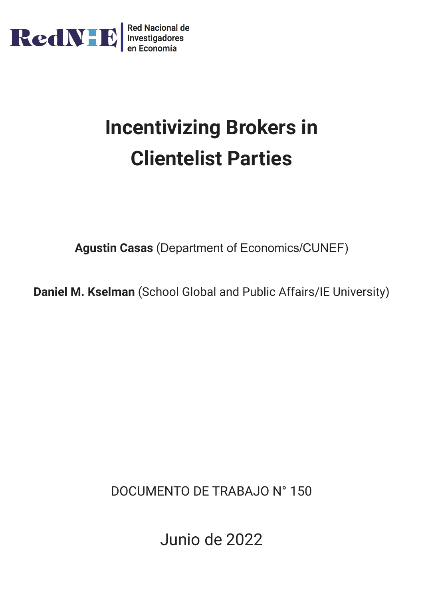

# **Incentivizing Brokers in Clientelist Parties**

**Agustin Casas** (Department of Economics/CUNEF)

**Daniel M. Kselman** (School Global and Public Affairs/IE University)

DOCUMENTO DE TRABAJO N° 150

Junio de 2022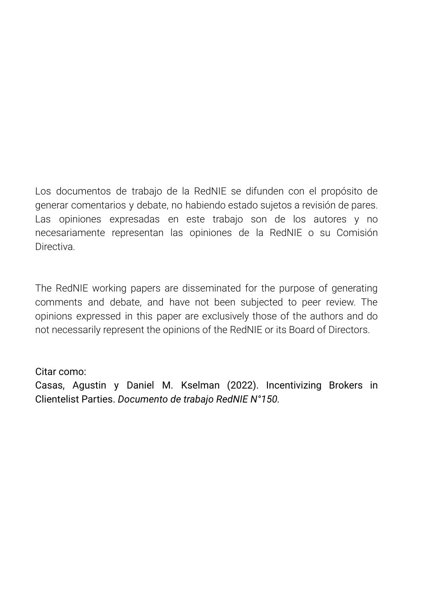Los documentos de trabajo de la RedNIE se difunden con el propósito de generar comentarios y debate, no habiendo estado sujetos a revisión de pares. Las opiniones expresadas en este trabajo son de los autores y no necesariamente representan las opiniones de la RedNIE o su Comisión **Directiva** 

The RedNIE working papers are disseminated for the purpose of generating comments and debate, and have not been subjected to peer review. The opinions expressed in this paper are exclusively those of the authors and do not necessarily represent the opinions of the RedNIE or its Board of Directors.

Citar como:

Casas, Agustin y Daniel M. Kselman (2022). Incentivizing Brokers in Clientelist Parties. *Documento de trabajo RedNIE N°150.*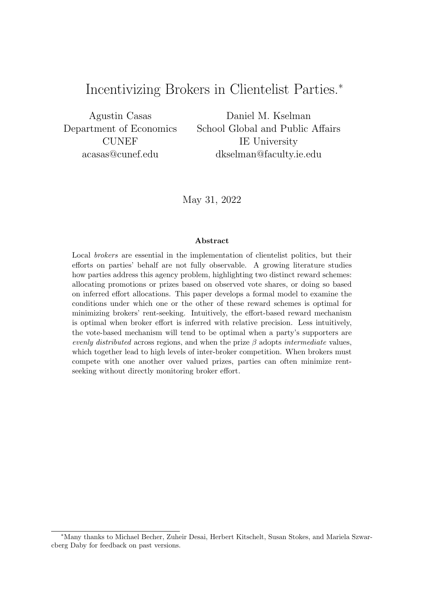### Incentivizing Brokers in Clientelist Parties.<sup>∗</sup>

Agustin Casas Department of Economics CUNEF acasas@cunef.edu

Daniel M. Kselman School Global and Public Affairs IE University dkselman@faculty.ie.edu

May 31, 2022

#### Abstract

Local *brokers* are essential in the implementation of clientelist politics, but their efforts on parties' behalf are not fully observable. A growing literature studies how parties address this agency problem, highlighting two distinct reward schemes: allocating promotions or prizes based on observed vote shares, or doing so based on inferred effort allocations. This paper develops a formal model to examine the conditions under which one or the other of these reward schemes is optimal for minimizing brokers' rent-seeking. Intuitively, the effort-based reward mechanism is optimal when broker effort is inferred with relative precision. Less intuitively, the vote-based mechanism will tend to be optimal when a party's supporters are evenly distributed across regions, and when the prize  $\beta$  adopts intermediate values, which together lead to high levels of inter-broker competition. When brokers must compete with one another over valued prizes, parties can often minimize rentseeking without directly monitoring broker effort.

<sup>∗</sup>Many thanks to Michael Becher, Zuheir Desai, Herbert Kitschelt, Susan Stokes, and Mariela Szwarcberg Daby for feedback on past versions.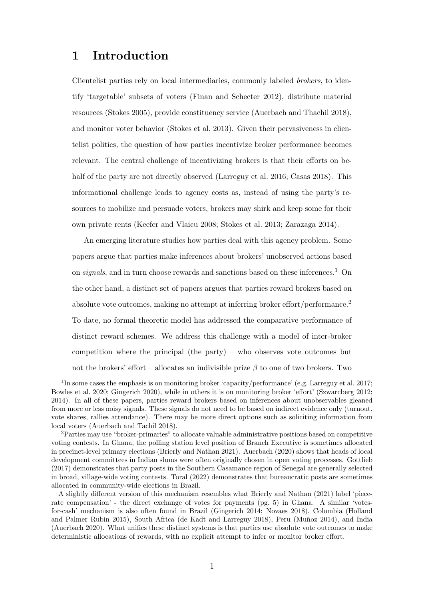### 1 Introduction

Clientelist parties rely on local intermediaries, commonly labeled brokers, to identify 'targetable' subsets of voters (Finan and Schecter 2012), distribute material resources (Stokes 2005), provide constituency service (Auerbach and Thachil 2018), and monitor voter behavior (Stokes et al. 2013). Given their pervasiveness in clientelist politics, the question of how parties incentivize broker performance becomes relevant. The central challenge of incentivizing brokers is that their efforts on behalf of the party are not directly observed (Larreguy et al. 2016; Casas 2018). This informational challenge leads to agency costs as, instead of using the party's resources to mobilize and persuade voters, brokers may shirk and keep some for their own private rents (Keefer and Vlaicu 2008; Stokes et al. 2013; Zarazaga 2014).

An emerging literature studies how parties deal with this agency problem. Some papers argue that parties make inferences about brokers' unobserved actions based on signals, and in turn choose rewards and sanctions based on these inferences.<sup>1</sup> On the other hand, a distinct set of papers argues that parties reward brokers based on absolute vote outcomes, making no attempt at inferring broker effort/performance.<sup>2</sup> To date, no formal theoretic model has addressed the comparative performance of distinct reward schemes. We address this challenge with a model of inter-broker competition where the principal (the party) – who observes vote outcomes but not the brokers' effort – allocates an indivisible prize  $\beta$  to one of two brokers. Two

<sup>&</sup>lt;sup>1</sup>In some cases the emphasis is on monitoring broker 'capacity/performance' (e.g. Larreguy et al. 2017; Bowles et al. 2020; Gingerich 2020), while in others it is on monitoring broker 'effort' (Szwarcberg 2012; 2014). In all of these papers, parties reward brokers based on inferences about unobservables gleaned from more or less noisy signals. These signals do not need to be based on indirect evidence only (turnout, vote shares, rallies attendance). There may be more direct options such as soliciting information from local voters (Auerbach and Tachil 2018).

<sup>2</sup>Parties may use "broker-primaries" to allocate valuable administrative positions based on competitive voting contests. In Ghana, the polling station level position of Branch Executive is sometimes allocated in precinct-level primary elections (Brierly and Nathan 2021). Auerbach (2020) shows that heads of local development committees in Indian slums were often originally chosen in open voting processes. Gottlieb (2017) demonstrates that party posts in the Southern Casamance region of Senegal are generally selected in broad, village-wide voting contests. Toral (2022) demonstrates that bureaucratic posts are sometimes allocated in community-wide elections in Brazil.

A slightly different version of this mechanism resembles what Brierly and Nathan (2021) label 'piecerate compensation' - the direct exchange of votes for payments (pg. 5) in Ghana. A similar 'votesfor-cash' mechanism is also often found in Brazil (Gingerich 2014; Novaes 2018), Colombia (Holland and Palmer Rubin 2015), South Africa (de Kadt and Larreguy 2018), Peru (Muñoz 2014), and India (Auerbach 2020). What unifies these distinct systems is that parties use absolute vote outcomes to make deterministic allocations of rewards, with no explicit attempt to infer or monitor broker effort.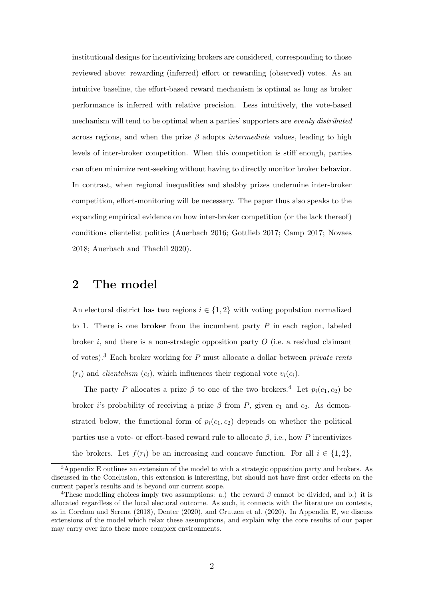institutional designs for incentivizing brokers are considered, corresponding to those reviewed above: rewarding (inferred) effort or rewarding (observed) votes. As an intuitive baseline, the effort-based reward mechanism is optimal as long as broker performance is inferred with relative precision. Less intuitively, the vote-based mechanism will tend to be optimal when a parties' supporters are evenly distributed across regions, and when the prize  $\beta$  adopts *intermediate* values, leading to high levels of inter-broker competition. When this competition is stiff enough, parties can often minimize rent-seeking without having to directly monitor broker behavior. In contrast, when regional inequalities and shabby prizes undermine inter-broker competition, effort-monitoring will be necessary. The paper thus also speaks to the expanding empirical evidence on how inter-broker competition (or the lack thereof) conditions clientelist politics (Auerbach 2016; Gottlieb 2017; Camp 2017; Novaes 2018; Auerbach and Thachil 2020).

### 2 The model

An electoral district has two regions  $i \in \{1,2\}$  with voting population normalized to 1. There is one **broker** from the incumbent party  $P$  in each region, labeled broker i, and there is a non-strategic opposition party  $O$  (i.e. a residual claimant of votes).<sup>3</sup> Each broker working for P must allocate a dollar between *private rents*  $(r_i)$  and *clientelism*  $(c_i)$ , which influences their regional vote  $v_i(c_i)$ .

The party P allocates a prize  $\beta$  to one of the two brokers.<sup>4</sup> Let  $p_i(c_1, c_2)$  be broker *i*'s probability of receiving a prize  $\beta$  from P, given  $c_1$  and  $c_2$ . As demonstrated below, the functional form of  $p_i(c_1, c_2)$  depends on whether the political parties use a vote- or effort-based reward rule to allocate  $\beta$ , i.e., how P incentivizes the brokers. Let  $f(r_i)$  be an increasing and concave function. For all  $i \in \{1, 2\}$ ,

<sup>&</sup>lt;sup>3</sup>Appendix E outlines an extension of the model to with a strategic opposition party and brokers. As discussed in the Conclusion, this extension is interesting, but should not have first order effects on the current paper's results and is beyond our current scope.

<sup>&</sup>lt;sup>4</sup>These modelling choices imply two assumptions: a.) the reward  $\beta$  cannot be divided, and b.) it is allocated regardless of the local electoral outcome. As such, it connects with the literature on contests, as in Corchon and Serena (2018), Denter (2020), and Crutzen et al. (2020). In Appendix E, we discuss extensions of the model which relax these assumptions, and explain why the core results of our paper may carry over into these more complex environments.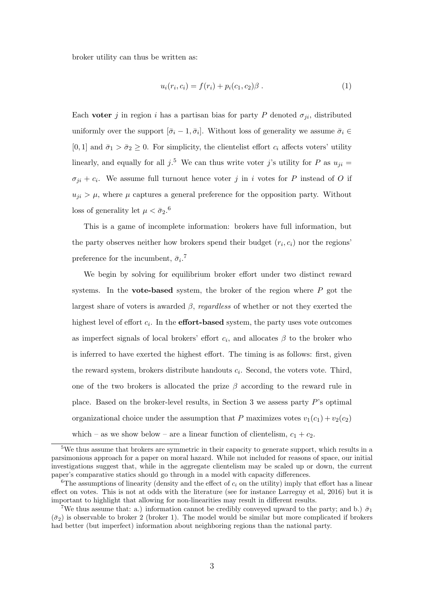broker utility can thus be written as:

$$
u_i(r_i, c_i) = f(r_i) + p_i(c_1, c_2)\beta.
$$
 (1)

Each voter j in region i has a partisan bias for party P denoted  $\sigma_{ii}$ , distributed uniformly over the support  $[\bar{\sigma}_i - 1, \bar{\sigma}_i]$ . Without loss of generality we assume  $\bar{\sigma}_i \in$ [0, 1] and  $\bar{\sigma}_1 > \bar{\sigma}_2 \geq 0$ . For simplicity, the clientelist effort  $c_i$  affects voters' utility linearly, and equally for all  $j$ .<sup>5</sup> We can thus write voter j's utility for P as  $u_{ji} =$  $\sigma_{ji} + c_i$ . We assume full turnout hence voter j in i votes for P instead of O if  $u_{ji} > \mu$ , where  $\mu$  captures a general preference for the opposition party. Without loss of generality let  $\mu < \bar{\sigma}_2$ .<sup>6</sup>

This is a game of incomplete information: brokers have full information, but the party observes neither how brokers spend their budget  $(r_i, c_i)$  nor the regions' preference for the incumbent,  $\bar{\sigma}_i$ .<sup>7</sup>

We begin by solving for equilibrium broker effort under two distinct reward systems. In the **vote-based** system, the broker of the region where  $P$  got the largest share of voters is awarded  $\beta$ , regardless of whether or not they exerted the highest level of effort  $c_i$ . In the **effort-based** system, the party uses vote outcomes as imperfect signals of local brokers' effort  $c_i$ , and allocates  $\beta$  to the broker who is inferred to have exerted the highest effort. The timing is as follows: first, given the reward system, brokers distribute handouts  $c_i$ . Second, the voters vote. Third, one of the two brokers is allocated the prize  $\beta$  according to the reward rule in place. Based on the broker-level results, in Section 3 we assess party P's optimal organizational choice under the assumption that P maximizes votes  $v_1(c_1) + v_2(c_2)$ which – as we show below – are a linear function of clientelism,  $c_1 + c_2$ .

<sup>&</sup>lt;sup>5</sup>We thus assume that brokers are symmetric in their capacity to generate support, which results in a parsimonious approach for a paper on moral hazard. While not included for reasons of space, our initial investigations suggest that, while in the aggregate clientelism may be scaled up or down, the current paper's comparative statics should go through in a model with capacity differences.

<sup>&</sup>lt;sup>6</sup>The assumptions of linearity (density and the effect of  $c_i$  on the utility) imply that effort has a linear effect on votes. This is not at odds with the literature (see for instance Larreguy et al, 2016) but it is important to highlight that allowing for non-linearities may result in different results.

<sup>&</sup>lt;sup>7</sup>We thus assume that: a.) information cannot be credibly conveyed upward to the party; and b.)  $\bar{\sigma}_1$  $(\bar{\sigma}_2)$  is observable to broker 2 (broker 1). The model would be similar but more complicated if brokers had better (but imperfect) information about neighboring regions than the national party.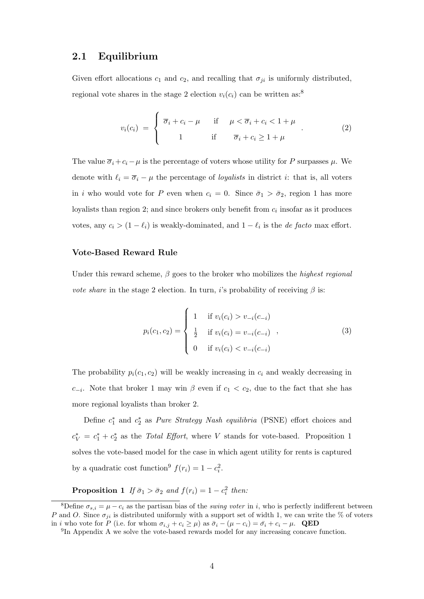#### 2.1 Equilibrium

Given effort allocations  $c_1$  and  $c_2$ , and recalling that  $\sigma_{ji}$  is uniformly distributed, regional vote shares in the stage 2 election  $v_i(c_i)$  can be written as:<sup>8</sup>

$$
v_i(c_i) = \begin{cases} \overline{\sigma}_i + c_i - \mu & \text{if } \mu < \overline{\sigma}_i + c_i < 1 + \mu \\ 1 & \text{if } \overline{\sigma}_i + c_i \ge 1 + \mu \end{cases}
$$
 (2)

The value  $\overline{\sigma}_i + c_i - \mu$  is the percentage of voters whose utility for P surpasses  $\mu$ . We denote with  $\ell_i = \overline{\sigma}_i - \mu$  the percentage of *loyalists* in district *i*: that is, all voters in i who would vote for P even when  $c_i = 0$ . Since  $\bar{\sigma}_1 > \bar{\sigma}_2$ , region 1 has more loyalists than region 2; and since brokers only benefit from  $c_i$  insofar as it produces votes, any  $c_i > (1 - \ell_i)$  is weakly-dominated, and  $1 - \ell_i$  is the *de facto* max effort.

#### Vote-Based Reward Rule

Under this reward scheme,  $\beta$  goes to the broker who mobilizes the highest regional *vote share* in the stage 2 election. In turn, i's probability of receiving  $\beta$  is:

$$
p_i(c_1, c_2) = \begin{cases} 1 & \text{if } v_i(c_i) > v_{-i}(c_{-i}) \\ \frac{1}{2} & \text{if } v_i(c_i) = v_{-i}(c_{-i}) \\ 0 & \text{if } v_i(c_i) < v_{-i}(c_{-i}) \end{cases}
$$
 (3)

The probability  $p_i(c_1, c_2)$  will be weakly increasing in  $c_i$  and weakly decreasing in c<sub>−i</sub>. Note that broker 1 may win  $\beta$  even if c<sub>1</sub> < c<sub>2</sub>, due to the fact that she has more regional loyalists than broker 2.

Define  $c_1^*$  and  $c_2^*$  as *Pure Strategy Nash equilibria* (PSNE) effort choices and  $c_V^* = c_1^* + c_2^*$  as the *Total Effort*, where *V* stands for vote-based. Proposition 1 solves the vote-based model for the case in which agent utility for rents is captured by a quadratic cost function<sup>9</sup>  $f(r_i) = 1 - c_i^2$ .

**Proposition 1** If  $\bar{\sigma}_1 > \bar{\sigma}_2$  and  $f(r_i) = 1 - c_i^2$  then:

<sup>&</sup>lt;sup>8</sup>Define  $\sigma_{s,i} = \mu - c_i$  as the partisan bias of the *swing voter* in *i*, who is perfectly indifferent between P and O. Since  $\sigma_{ji}$  is distributed uniformly with a support set of width 1, we can write the % of voters in i who vote for P (i.e. for whom  $\sigma_{i,j} + c_i \ge \mu$ ) as  $\bar{\sigma}_i - (\mu - c_i) = \bar{\sigma}_i + c_i - \mu$ . **QED** 

<sup>&</sup>lt;sup>9</sup>In Appendix A we solve the vote-based rewards model for any increasing concave function.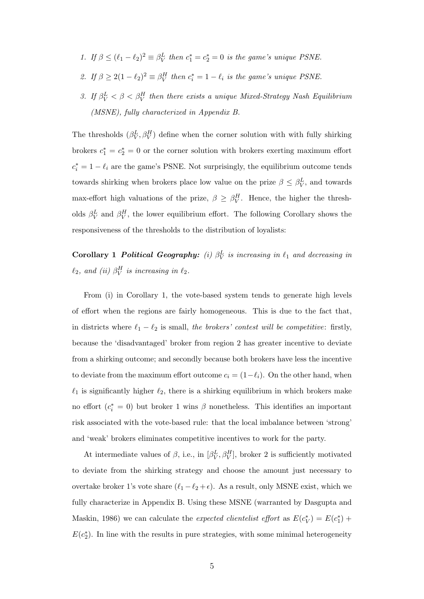- 1. If  $\beta \leq (\ell_1 \ell_2)^2 \equiv \beta_V^L$  then  $c_1^* = c_2^* = 0$  is the game's unique PSNE.
- 2. If  $\beta \geq 2(1 \ell_2)^2 \equiv \beta^H_V$  then  $c_i^* = 1 \ell_i$  is the game's unique PSNE.
- 3. If  $\beta_V^L < \beta < \beta_V^H$  then there exists a unique Mixed-Strategy Nash Equilibrium (MSNE), fully characterized in Appendix B.

The thresholds  $(\beta_V^L, \beta_V^H)$  define when the corner solution with with fully shirking brokers  $c_1^* = c_2^* = 0$  or the corner solution with brokers exerting maximum effort  $c_i^* = 1 - \ell_i$  are the game's PSNE. Not surprisingly, the equilibrium outcome tends towards shirking when brokers place low value on the prize  $\beta \leq \beta_V^L$ , and towards max-effort high valuations of the prize,  $\beta \geq \beta_V^H$ . Hence, the higher the thresholds  $\beta_V^L$  and  $\beta_V^H$ , the lower equilibrium effort. The following Corollary shows the responsiveness of the thresholds to the distribution of loyalists:

Corollary 1 Political Geography: (i)  $\beta_V^L$  is increasing in  $\ell_1$  and decreasing in  $\ell_2$ , and (ii)  $\beta^H_V$  is increasing in  $\ell_2$ .

From (i) in Corollary 1, the vote-based system tends to generate high levels of effort when the regions are fairly homogeneous. This is due to the fact that, in districts where  $\ell_1 - \ell_2$  is small, the brokers' contest will be competitive: firstly, because the 'disadvantaged' broker from region 2 has greater incentive to deviate from a shirking outcome; and secondly because both brokers have less the incentive to deviate from the maximum effort outcome  $c_i = (1-\ell_i)$ . On the other hand, when  $\ell_1$  is significantly higher  $\ell_2$ , there is a shirking equilibrium in which brokers make no effort  $(c_i^* = 0)$  but broker 1 wins  $\beta$  nonetheless. This identifies an important risk associated with the vote-based rule: that the local imbalance between 'strong' and 'weak' brokers eliminates competitive incentives to work for the party.

At intermediate values of  $\beta$ , i.e., in  $[\beta_V^L, \beta_V^H]$ , broker 2 is sufficiently motivated to deviate from the shirking strategy and choose the amount just necessary to overtake broker 1's vote share  $(\ell_1 - \ell_2 + \epsilon)$ . As a result, only MSNE exist, which we fully characterize in Appendix B. Using these MSNE (warranted by Dasgupta and Maskin, 1986) we can calculate the *expected clientelist effort* as  $E(c_V^*) = E(c_1^*) +$  $E(c_2^*)$ . In line with the results in pure strategies, with some minimal heterogeneity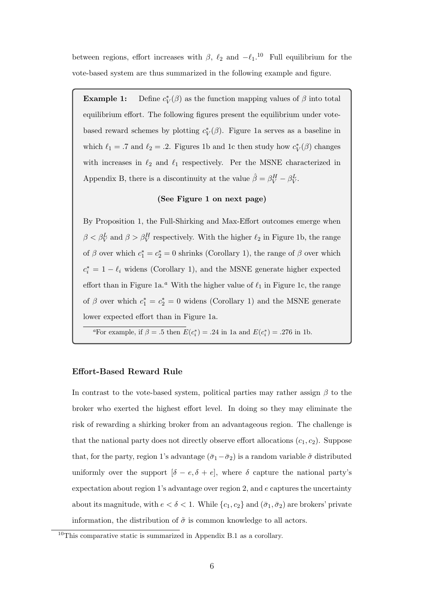between regions, effort increases with  $\beta$ ,  $\ell_2$  and  $-\ell_1$ .<sup>10</sup> Full equilibrium for the vote-based system are thus summarized in the following example and figure.

Example 1:  $_{V}^{*}(\beta)$  as the function mapping values of  $\beta$  into total equilibrium effort. The following figures present the equilibrium under votebased reward schemes by plotting  $c_V^*(\beta)$ . Figure 1a serves as a baseline in which  $\ell_1 = .7$  and  $\ell_2 = .2$ . Figures 1b and 1c then study how  $c_V^*(\beta)$  changes with increases in  $\ell_2$  and  $\ell_1$  respectively. Per the MSNE characterized in Appendix B, there is a discontinuity at the value  $\hat{\beta} = \beta_V^H - \beta_V^L$ .

#### (See Figure 1 on next page)

By Proposition 1, the Full-Shirking and Max-Effort outcomes emerge when  $\beta < \beta_V^L$  and  $\beta > \beta_V^H$  respectively. With the higher  $\ell_2$  in Figure 1b, the range of  $\beta$  over which  $c_1^* = c_2^* = 0$  shrinks (Corollary 1), the range of  $\beta$  over which  $c_i^* = 1 - \ell_i$  widens (Corollary 1), and the MSNE generate higher expected effort than in Figure 1a.<sup>a</sup> With the higher value of  $\ell_1$  in Figure 1c, the range of  $\beta$  over which  $c_1^* = c_2^* = 0$  widens (Corollary 1) and the MSNE generate lower expected effort than in Figure 1a.

<sup>a</sup>For example, if  $\beta = .5$  then  $E(c_i^*) = .24$  in 1a and  $E(c_i^*) = .276$  in 1b.

#### Effort-Based Reward Rule

In contrast to the vote-based system, political parties may rather assign  $\beta$  to the broker who exerted the highest effort level. In doing so they may eliminate the risk of rewarding a shirking broker from an advantageous region. The challenge is that the national party does not directly observe effort allocations  $(c_1, c_2)$ . Suppose that, for the party, region 1's advantage  $(\bar{\sigma}_1-\bar{\sigma}_2)$  is a random variable  $\tilde{\sigma}$  distributed uniformly over the support  $[\delta - e, \delta + e]$ , where  $\delta$  capture the national party's expectation about region 1's advantage over region 2, and  $e$  captures the uncertainty about its magnitude, with  $e < \delta < 1$ . While  $\{c_1, c_2\}$  and  $(\bar{\sigma}_1, \bar{\sigma}_2)$  are brokers' private information, the distribution of  $\tilde{\sigma}$  is common knowledge to all actors.

 $10$ This comparative static is summarized in Appendix B.1 as a corollary.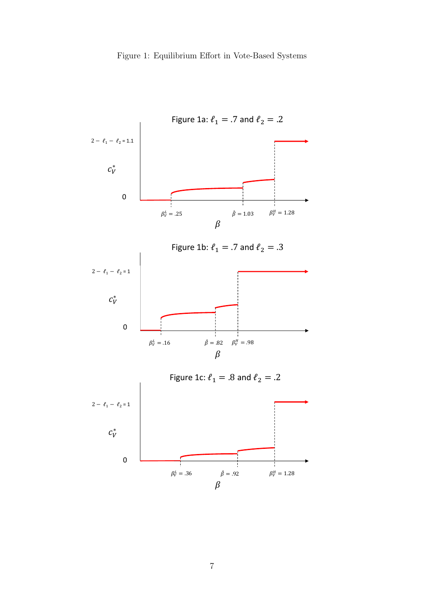

7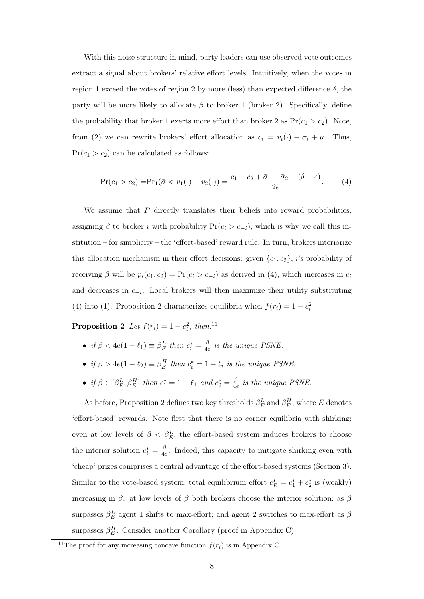With this noise structure in mind, party leaders can use observed vote outcomes extract a signal about brokers' relative effort levels. Intuitively, when the votes in region 1 exceed the votes of region 2 by more (less) than expected difference  $\delta$ , the party will be more likely to allocate  $\beta$  to broker 1 (broker 2). Specifically, define the probability that broker 1 exerts more effort than broker 2 as  $Pr(c_1 > c_2)$ . Note, from (2) we can rewrite brokers' effort allocation as  $c_i = v_i(\cdot) - \bar{\sigma}_i + \mu$ . Thus,  $Pr(c_1 > c_2)$  can be calculated as follows:

$$
Pr(c_1 > c_2) = Pr_1(\tilde{\sigma} < v_1(\cdot) - v_2(\cdot)) = \frac{c_1 - c_2 + \bar{\sigma}_1 - \bar{\sigma}_2 - (\delta - e)}{2e}.
$$
 (4)

We assume that  $P$  directly translates their beliefs into reward probabilities, assigning  $\beta$  to broker *i* with probability Pr( $c_i > c_{-i}$ ), which is why we call this institution – for simplicity – the 'effort-based' reward rule. In turn, brokers interiorize this allocation mechanism in their effort decisions: given  $\{c_1, c_2\}$ , *i*'s probability of receiving  $\beta$  will be  $p_i(c_1, c_2) = Pr(c_i > c_{-i})$  as derived in (4), which increases in  $c_i$ and decreases in  $c_{-i}$ . Local brokers will then maximize their utility substituting (4) into (1). Proposition 2 characterizes equilibria when  $f(r_i) = 1 - c_i^2$ :

**Proposition 2** Let  $f(r_i) = 1 - c_i^2$ , then:<sup>11</sup>

- if  $\beta < 4e(1 \ell_1) \equiv \beta_E^L$  then  $c_i^* = \frac{\beta}{4e}$  $\frac{\beta}{4e}$  is the unique PSNE.
- if  $\beta > 4e(1 \ell_2) \equiv \beta_E^H$  then  $c_i^* = 1 \ell_i$  is the unique PSNE.
- if  $\beta \in [\beta_E^L, \beta_E^H]$  then  $c_1^* = 1 \ell_1$  and  $c_2^* = \frac{\beta}{4\epsilon}$  $\frac{\beta}{4e}$  is the unique PSNE.

As before, Proposition 2 defines two key thresholds  $\beta_E^L$  and  $\beta_E^H$ , where E denotes 'effort-based' rewards. Note first that there is no corner equilibria with shirking: even at low levels of  $\beta < \beta_E^L$ , the effort-based system induces brokers to choose the interior solution  $c_i^* = \frac{\beta}{4e}$  $\frac{\beta}{4e}$ . Indeed, this capacity to mitigate shirking even with 'cheap' prizes comprises a central advantage of the effort-based systems (Section 3). Similar to the vote-based system, total equilibrium effort  $c_E^* = c_1^* + c_2^*$  is (weakly) increasing in  $\beta$ : at low levels of  $\beta$  both brokers choose the interior solution; as  $\beta$ surpasses  $\beta_E^L$  agent 1 shifts to max-effort; and agent 2 switches to max-effort as  $\beta$ surpasses  $\beta_E^H$ . Consider another Corollary (proof in Appendix C).

<sup>&</sup>lt;sup>11</sup>The proof for any increasing concave function  $f(r_i)$  is in Appendix C.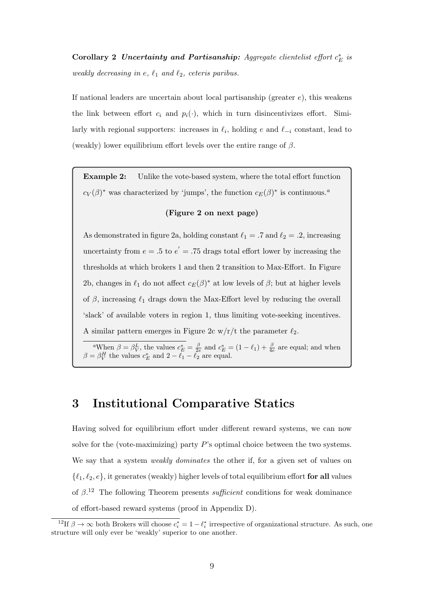Corollary 2 Uncertainty and Partisanship: Aggregate clientelist effort  $c_E^*$  is weakly decreasing in e,  $\ell_1$  and  $\ell_2$ , ceteris paribus.

If national leaders are uncertain about local partisanship (greater  $e$ ), this weakens the link between effort  $c_i$  and  $p_i(\cdot)$ , which in turn disincentivizes effort. Similarly with regional supporters: increases in  $\ell_i$ , holding e and  $\ell_{-i}$  constant, lead to (weakly) lower equilibrium effort levels over the entire range of  $\beta$ .

Example 2: Unlike the vote-based system, where the total effort function  $c_V(\beta)^*$  was characterized by 'jumps', the function  $c_E(\beta)^*$  is continuous.<sup>a</sup>

#### (Figure 2 on next page)

As demonstrated in figure 2a, holding constant  $\ell_1 = .7$  and  $\ell_2 = .2$ , increasing uncertainty from  $e = .5$  to  $e' = .75$  drags total effort lower by increasing the thresholds at which brokers 1 and then 2 transition to Max-Effort. In Figure 2b, changes in  $\ell_1$  do not affect  $c_E(\beta)^*$  at low levels of  $\beta$ ; but at higher levels of  $\beta$ , increasing  $\ell_1$  drags down the Max-Effort level by reducing the overall 'slack' of available voters in region 1, thus limiting vote-seeking incentives. A similar pattern emerges in Figure 2c w/r/t the parameter  $\ell_2$ .

<sup>a</sup>When  $\beta = \beta_V^L$ , the values  $c_E^* = \frac{\beta}{2e}$  and  $c_E^* = (1 - \ell_1) + \frac{\beta}{4e}$  are equal; and when  $\beta = \beta_V^H$  the values  $c_E^*$  and  $2 - \ell_1 - \ell_2$  are equal.

### 3 Institutional Comparative Statics

Having solved for equilibrium effort under different reward systems, we can now solve for the (vote-maximizing) party  $P$ 's optimal choice between the two systems. We say that a system *weakly dominates* the other if, for a given set of values on  $\{\ell_1, \ell_2, e\}$ , it generates (weakly) higher levels of total equilibrium effort for all values of  $\beta$ <sup>12</sup>. The following Theorem presents *sufficient* conditions for weak dominance of effort-based reward systems (proof in Appendix D).

<sup>&</sup>lt;sup>12</sup>If  $\beta \to \infty$  both Brokers will choose  $c_i^* = 1 - \ell_i^*$  irrespective of organizational structure. As such, one structure will only ever be 'weakly' superior to one another.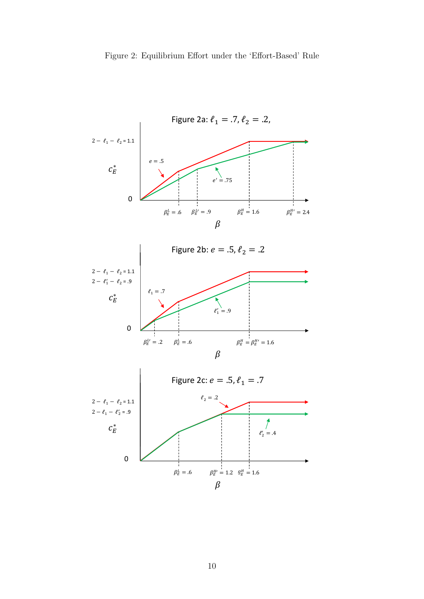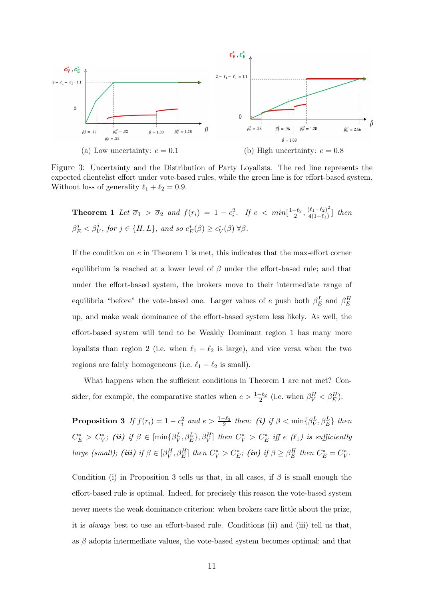

Figure 3: Uncertainty and the Distribution of Party Loyalists. The red line represents the expected clientelist effort under vote-based rules, while the green line is for effort-based system. Without loss of generality  $\ell_1 + \ell_2 = 0.9$ .

**Theorem 1** Let  $\overline{\sigma}_1 > \overline{\sigma}_2$  and  $f(r_i) = 1 - c_i^2$ . If  $e < min[\frac{1-\ell_2}{2}, \frac{(\ell_1-\ell_2)^2}{4(1-\ell_1)}]$  $\frac{(t_1-t_2)^2}{4(1-\ell_1)}$ ] then  $\beta_E^j < \beta_V^j$ , for  $j \in \{H, L\}$ , and so  $c_E^*(\beta) \ge c_V^*(\beta) \,\forall \beta$ .

If the condition on  $e$  in Theorem 1 is met, this indicates that the max-effort corner equilibrium is reached at a lower level of  $\beta$  under the effort-based rule; and that under the effort-based system, the brokers move to their intermediate range of equilibria "before" the vote-based one. Larger values of e push both  $\beta_E^L$  and  $\beta_E^H$ up, and make weak dominance of the effort-based system less likely. As well, the effort-based system will tend to be Weakly Dominant region 1 has many more loyalists than region 2 (i.e. when  $\ell_1 - \ell_2$  is large), and vice versa when the two regions are fairly homogeneous (i.e.  $\ell_1 - \ell_2$  is small).

What happens when the sufficient conditions in Theorem 1 are not met? Consider, for example, the comparative statics when  $e > \frac{1-\ell_2}{2}$  (i.e. when  $\beta_V^H < \beta_E^H$ ).

**Proposition 3** If  $f(r_i) = 1 - c_i^2$  and  $e > \frac{1-\ell_2}{2}$  then: (i) if  $\beta < \min\{\beta_V^L, \beta_E^L\}$  then  $C_E^* > C_V^*$ ; (ii) if  $\beta \in [\min\{\beta_V^L, \beta_E^L\}, \beta_V^H]$  then  $C_V^* > C_E^*$  iff e ( $\ell_1$ ) is sufficiently large (small); (iii) if  $\beta \in [\beta_V^H, \beta_E^H]$  then  $C_V^* > C_E^*$ ; (iv) if  $\beta \geq \beta_E^H$  then  $C_E^* = C_V^*$ .

Condition (i) in Proposition 3 tells us that, in all cases, if  $\beta$  is small enough the effort-based rule is optimal. Indeed, for precisely this reason the vote-based system never meets the weak dominance criterion: when brokers care little about the prize, it is always best to use an effort-based rule. Conditions (ii) and (iii) tell us that, as  $\beta$  adopts intermediate values, the vote-based system becomes optimal; and that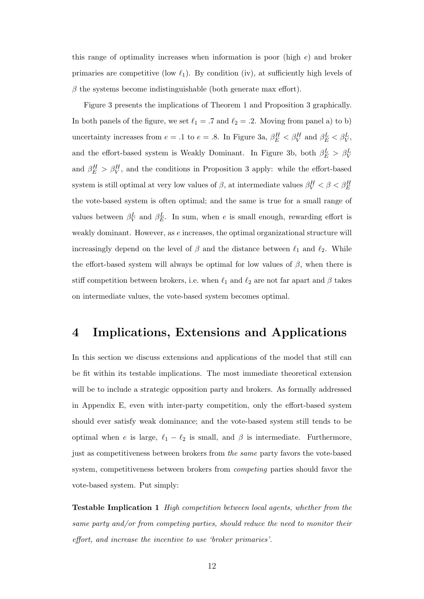this range of optimality increases when information is poor (high  $e$ ) and broker primaries are competitive (low  $\ell_1$ ). By condition (iv), at sufficiently high levels of  $\beta$  the systems become indistinguishable (both generate max effort).

Figure 3 presents the implications of Theorem 1 and Proposition 3 graphically. In both panels of the figure, we set  $\ell_1 = .7$  and  $\ell_2 = .2$ . Moving from panel a) to b) uncertainty increases from  $e = .1$  to  $e = .8$ . In Figure 3a,  $\beta_E^H < \beta_V^H$  and  $\beta_E^L < \beta_V^L$ , and the effort-based system is Weakly Dominant. In Figure 3b, both  $\beta_E^L > \beta_V^L$ and  $\beta_E^H > \beta_V^H$ , and the conditions in Proposition 3 apply: while the effort-based system is still optimal at very low values of  $\beta$ , at intermediate values  $\beta_V^H < \beta < \beta_E^H$ the vote-based system is often optimal; and the same is true for a small range of values between  $\beta_V^L$  and  $\beta_E^L$ . In sum, when e is small enough, rewarding effort is weakly dominant. However, as e increases, the optimal organizational structure will increasingly depend on the level of  $\beta$  and the distance between  $\ell_1$  and  $\ell_2$ . While the effort-based system will always be optimal for low values of  $\beta$ , when there is stiff competition between brokers, i.e. when  $\ell_1$  and  $\ell_2$  are not far apart and  $\beta$  takes on intermediate values, the vote-based system becomes optimal.

### 4 Implications, Extensions and Applications

In this section we discuss extensions and applications of the model that still can be fit within its testable implications. The most immediate theoretical extension will be to include a strategic opposition party and brokers. As formally addressed in Appendix E, even with inter-party competition, only the effort-based system should ever satisfy weak dominance; and the vote-based system still tends to be optimal when e is large,  $\ell_1 - \ell_2$  is small, and  $\beta$  is intermediate. Furthermore, just as competitiveness between brokers from the same party favors the vote-based system, competitiveness between brokers from *competing* parties should favor the vote-based system. Put simply:

Testable Implication 1 High competition between local agents, whether from the same party and/or from competing parties, should reduce the need to monitor their effort, and increase the incentive to use 'broker primaries'.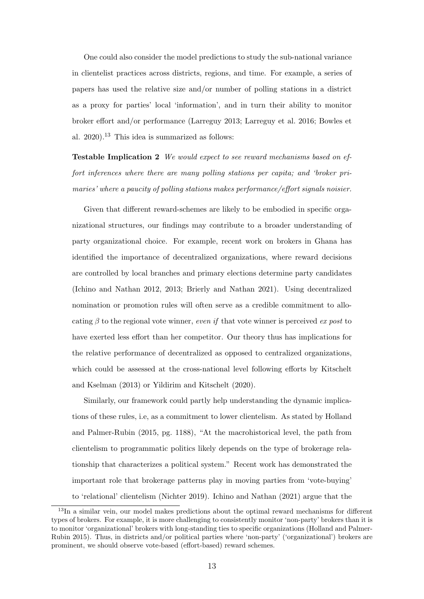One could also consider the model predictions to study the sub-national variance in clientelist practices across districts, regions, and time. For example, a series of papers has used the relative size and/or number of polling stations in a district as a proxy for parties' local 'information', and in turn their ability to monitor broker effort and/or performance (Larreguy 2013; Larreguy et al. 2016; Bowles et al.  $2020$ .<sup>13</sup> This idea is summarized as follows:

Testable Implication 2 We would expect to see reward mechanisms based on effort inferences where there are many polling stations per capita; and 'broker primaries' where a paucity of polling stations makes performance/effort signals noisier.

Given that different reward-schemes are likely to be embodied in specific organizational structures, our findings may contribute to a broader understanding of party organizational choice. For example, recent work on brokers in Ghana has identified the importance of decentralized organizations, where reward decisions are controlled by local branches and primary elections determine party candidates (Ichino and Nathan 2012, 2013; Brierly and Nathan 2021). Using decentralized nomination or promotion rules will often serve as a credible commitment to allocating  $\beta$  to the regional vote winner, even if that vote winner is perceived ex post to have exerted less effort than her competitor. Our theory thus has implications for the relative performance of decentralized as opposed to centralized organizations, which could be assessed at the cross-national level following efforts by Kitschelt and Kselman (2013) or Yildirim and Kitschelt (2020).

Similarly, our framework could partly help understanding the dynamic implications of these rules, i.e, as a commitment to lower clientelism. As stated by Holland and Palmer-Rubin (2015, pg. 1188), "At the macrohistorical level, the path from clientelism to programmatic politics likely depends on the type of brokerage relationship that characterizes a political system." Recent work has demonstrated the important role that brokerage patterns play in moving parties from 'vote-buying' to 'relational' clientelism (Nichter 2019). Ichino and Nathan (2021) argue that the

<sup>&</sup>lt;sup>13</sup>In a similar vein, our model makes predictions about the optimal reward mechanisms for different types of brokers. For example, it is more challenging to consistently monitor 'non-party' brokers than it is to monitor 'organizational' brokers with long-standing ties to specific organizations (Holland and Palmer-Rubin 2015). Thus, in districts and/or political parties where 'non-party' ('organizational') brokers are prominent, we should observe vote-based (effort-based) reward schemes.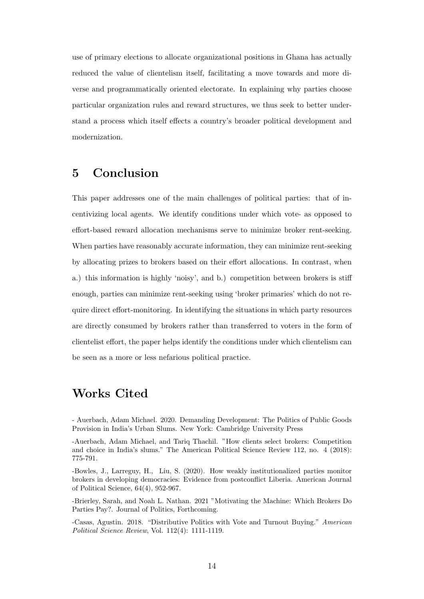use of primary elections to allocate organizational positions in Ghana has actually reduced the value of clientelism itself, facilitating a move towards and more diverse and programmatically oriented electorate. In explaining why parties choose particular organization rules and reward structures, we thus seek to better understand a process which itself effects a country's broader political development and modernization.

### 5 Conclusion

This paper addresses one of the main challenges of political parties: that of incentivizing local agents. We identify conditions under which vote- as opposed to effort-based reward allocation mechanisms serve to minimize broker rent-seeking. When parties have reasonably accurate information, they can minimize rent-seeking by allocating prizes to brokers based on their effort allocations. In contrast, when a.) this information is highly 'noisy', and b.) competition between brokers is stiff enough, parties can minimize rent-seeking using 'broker primaries' which do not require direct effort-monitoring. In identifying the situations in which party resources are directly consumed by brokers rather than transferred to voters in the form of clientelist effort, the paper helps identify the conditions under which clientelism can be seen as a more or less nefarious political practice.

### Works Cited

- Auerbach, Adam Michael. 2020. Demanding Development: The Politics of Public Goods Provision in India's Urban Slums. New York: Cambridge University Press

-Brierley, Sarah, and Noah L. Nathan. 2021 "Motivating the Machine: Which Brokers Do Parties Pay?. Journal of Politics, Forthcoming.

-Casas, Agustin. 2018. "Distributive Politics with Vote and Turnout Buying." American Political Science Review, Vol. 112(4): 1111-1119.

<sup>-</sup>Auerbach, Adam Michael, and Tariq Thachil. "How clients select brokers: Competition and choice in India's slums." The American Political Science Review 112, no. 4 (2018): 775-791.

<sup>-</sup>Bowles, J., Larreguy, H., Liu, S. (2020). How weakly institutionalized parties monitor brokers in developing democracies: Evidence from postconflict Liberia. American Journal of Political Science, 64(4), 952-967.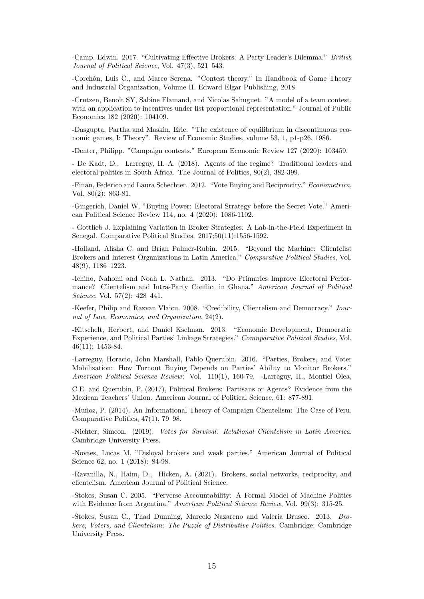-Camp, Edwin. 2017. "Cultivating Effective Brokers: A Party Leader's Dilemma." British Journal of Political Science, Vol. 47(3), 521–543.

-Corchón, Luis C., and Marco Serena. "Contest theory." In Handbook of Game Theory and Industrial Organization, Volume II. Edward Elgar Publishing, 2018.

-Crutzen, Benoît SY, Sabine Flamand, and Nicolas Sahuguet. "A model of a team contest, with an application to incentives under list proportional representation." Journal of Public Economics 182 (2020): 104109.

-Dasgupta, Partha and Maskin, Eric. "The existence of equilibrium in discontinuous economic games, I: Theory". Review of Economic Studies, volume 53, 1, p1-p26, 1986.

-Denter, Philipp. "Campaign contests." European Economic Review 127 (2020): 103459.

- De Kadt, D., Larreguy, H. A. (2018). Agents of the regime? Traditional leaders and electoral politics in South Africa. The Journal of Politics, 80(2), 382-399.

-Finan, Federico and Laura Schechter. 2012. "Vote Buying and Reciprocity." Econometrica, Vol. 80(2): 863-81.

-Gingerich, Daniel W. "Buying Power: Electoral Strategy before the Secret Vote." American Political Science Review 114, no. 4 (2020): 1086-1102.

- Gottlieb J. Explaining Variation in Broker Strategies: A Lab-in-the-Field Experiment in Senegal. Comparative Political Studies. 2017;50(11):1556-1592.

-Holland, Alisha C. and Brian Palmer-Rubin. 2015. "Beyond the Machine: Clientelist Brokers and Interest Organizations in Latin America." Comparative Political Studies, Vol. 48(9), 1186–1223.

-Ichino, Nahomi and Noah L. Nathan. 2013. "Do Primaries Improve Electoral Performance? Clientelism and Intra-Party Conflict in Ghana." American Journal of Political Science, Vol. 57(2): 428–441.

-Keefer, Philip and Razvan Vlaicu. 2008. "Credibility, Clientelism and Democracy." Journal of Law, Economics, and Organization, 24(2).

-Kitschelt, Herbert, and Daniel Kselman. 2013. "Economic Development, Democratic Experience, and Political Parties' Linkage Strategies." Comnparative Political Studies, Vol. 46(11): 1453-84.

-Larreguy, Horacio, John Marshall, Pablo Querubin. 2016. "Parties, Brokers, and Voter Mobilization: How Turnout Buying Depends on Parties' Ability to Monitor Brokers." American Political Science Review: Vol. 110(1), 160-79. -Larreguy, H., Montiel Olea,

C.E. and Querubin, P. (2017), Political Brokers: Partisans or Agents? Evidence from the Mexican Teachers' Union. American Journal of Political Science, 61: 877-891.

-Muñoz, P. (2014). An Informational Theory of Campaign Clientelism: The Case of Peru. Comparative Politics, 47(1), 79–98.

-Nichter, Simeon. (2019). Votes for Survival: Relational Clientelism in Latin America. Cambridge University Press.

-Novaes, Lucas M. "Disloyal brokers and weak parties." American Journal of Political Science 62, no. 1 (2018): 84-98.

-Ravanilla, N., Haim, D., Hicken, A. (2021). Brokers, social networks, reciprocity, and clientelism. American Journal of Political Science.

-Stokes, Susan C. 2005. "Perverse Accountability: A Formal Model of Machine Politics with Evidence from Argentina." American Political Science Review, Vol. 99(3): 315-25.

-Stokes, Susan C., Thad Dunning, Marcelo Nazareno and Valeria Brusco. 2013. Brokers, Voters, and Clientelism: The Puzzle of Distributive Politics. Cambridge: Cambridge University Press.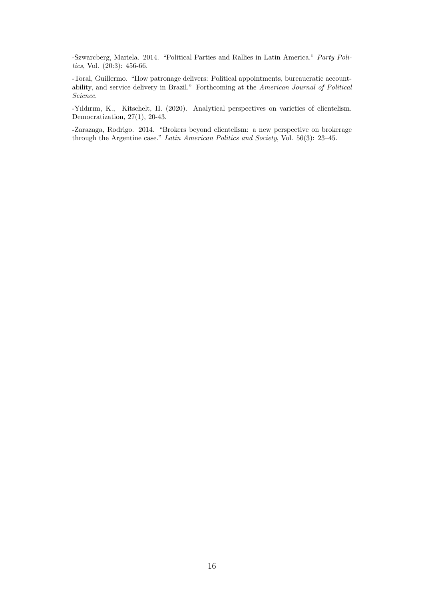-Szwarcberg, Mariela. 2014. "Political Parties and Rallies in Latin America." Party Politics, Vol. (20:3): 456-66.

-Toral, Guillermo. "How patronage delivers: Political appointments, bureaucratic accountability, and service delivery in Brazil." Forthcoming at the American Journal of Political Science.

-Yıldırım, K., Kitschelt, H. (2020). Analytical perspectives on varieties of clientelism. Democratization, 27(1), 20-43.

-Zarazaga, Rodrigo. 2014. "Brokers beyond clientelism: a new perspective on brokerage through the Argentine case." Latin American Politics and Society, Vol. 56(3): 23–45.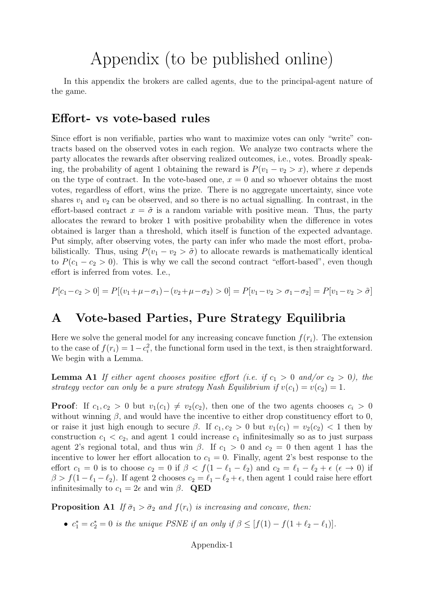## Appendix (to be published online)

In this appendix the brokers are called agents, due to the principal-agent nature of the game.

### Effort- vs vote-based rules

Since effort is non verifiable, parties who want to maximize votes can only "write" contracts based on the observed votes in each region. We analyze two contracts where the party allocates the rewards after observing realized outcomes, i.e., votes. Broadly speaking, the probability of agent 1 obtaining the reward is  $P(v_1 - v_2 > x)$ , where x depends on the type of contract. In the vote-based one,  $x = 0$  and so whoever obtains the most votes, regardless of effort, wins the prize. There is no aggregate uncertainty, since vote shares  $v_1$  and  $v_2$  can be observed, and so there is no actual signalling. In contrast, in the effort-based contract  $x = \tilde{\sigma}$  is a random variable with positive mean. Thus, the party allocates the reward to broker 1 with positive probability when the difference in votes obtained is larger than a threshold, which itself is function of the expected advantage. Put simply, after observing votes, the party can infer who made the most effort, probabilistically. Thus, using  $P(v_1 - v_2 > \tilde{\sigma})$  to allocate rewards is mathematically identical to  $P(c_1 - c_2 > 0)$ . This is why we call the second contract "effort-based", even though effort is inferred from votes. I.e.,

$$
P[c_1 - c_2 > 0] = P[(v_1 + \mu - \sigma_1) - (v_2 + \mu - \sigma_2) > 0] = P[v_1 - v_2 > \sigma_1 - \sigma_2] = P[v_1 - v_2 > \tilde{\sigma}]
$$

### A Vote-based Parties, Pure Strategy Equilibria

Here we solve the general model for any increasing concave function  $f(r_i)$ . The extension to the case of  $f(r_i) = 1 - c_i^2$ , the functional form used in the text, is then straightforward. We begin with a Lemma.

**Lemma A1** If either agent chooses positive effort (i.e. if  $c_1 > 0$  and/or  $c_2 > 0$ ), the strategy vector can only be a pure strategy Nash Equilibrium if  $v(c_1) = v(c_2) = 1$ .

**Proof:** If  $c_1, c_2 > 0$  but  $v_1(c_1) \neq v_2(c_2)$ , then one of the two agents chooses  $c_i > 0$ without winning  $\beta$ , and would have the incentive to either drop constituency effort to 0, or raise it just high enough to secure  $\beta$ . If  $c_1, c_2 > 0$  but  $v_1(c_1) = v_2(c_2) < 1$  then by construction  $c_1 < c_2$ , and agent 1 could increase  $c_1$  infinitesimally so as to just surpass agent 2's regional total, and thus win  $\beta$ . If  $c_1 > 0$  and  $c_2 = 0$  then agent 1 has the incentive to lower her effort allocation to  $c_1 = 0$ . Finally, agent 2's best response to the effort  $c_1 = 0$  is to choose  $c_2 = 0$  if  $\beta < f(1 - \ell_1 - \ell_2)$  and  $c_2 = \ell_1 - \ell_2 + \epsilon$  ( $\epsilon \to 0$ ) if  $\beta > f(1 - \ell_1 - \ell_2)$ . If agent 2 chooses  $c_2 = \ell_1 - \ell_2 + \epsilon$ , then agent 1 could raise here effort infinitesimally to  $c_1 = 2\epsilon$  and win  $\beta$ . QED

**Proposition A1** If  $\bar{\sigma}_1 > \bar{\sigma}_2$  and  $f(r_i)$  is increasing and concave, then:

•  $c_1^* = c_2^* = 0$  is the unique PSNE if an only if  $\beta \leq [f(1) - f(1 + \ell_2 - \ell_1)].$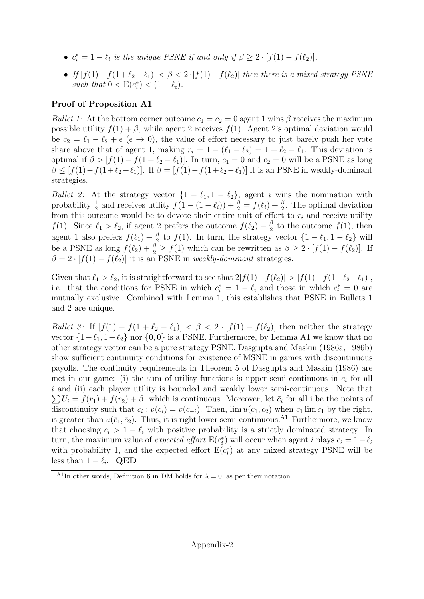- $c_i^* = 1 \ell_i$  is the unique PSNE if and only if  $\beta \geq 2 \cdot [f(1) f(\ell_2)].$
- If  $[f(1)-f(1+\ell_2-\ell_1)] < \beta < 2 \cdot [f(1)-f(\ell_2)]$  then there is a mixed-strategy PSNE such that  $0 < E(c_i^*) < (1 - \ell_i)$ .

### Proof of Proposition A1

Bullet 1: At the bottom corner outcome  $c_1 = c_2 = 0$  agent 1 wins  $\beta$  receives the maximum possible utility  $f(1) + \beta$ , while agent 2 receives  $f(1)$ . Agent 2's optimal deviation would be  $c_2 = \ell_1 - \ell_2 + \epsilon \ (\epsilon \to 0)$ , the value of effort necessary to just barely push her vote share above that of agent 1, making  $r_i = 1 - (\ell_1 - \ell_2) = 1 + \ell_2 - \ell_1$ . This deviation is optimal if  $\beta > [f(1) - f(1 + \ell_2 - \ell_1)]$ . In turn,  $c_1 = 0$  and  $c_2 = 0$  will be a PSNE as long  $\beta \leq [f(1)-f(1+\ell_2-\ell_1)]$ . If  $\beta = [f(1)-f(1+\ell_2-\ell_1)]$  it is an PSNE in weakly-dominant strategies.

Bullet 2: At the strategy vector  $\{1 - \ell_1, 1 - \ell_2\}$ , agent i wins the nomination with probability  $\frac{1}{2}$  and receives utility  $f(1 - (1 - \ell_i)) + \frac{\beta}{2} = f(\ell_i) + \frac{\beta}{2}$ . The optimal deviation from this outcome would be to devote their entire unit of effort to  $r_i$  and receive utility f(1). Since  $\ell_1 > \ell_2$ , if agent 2 prefers the outcome  $f(\ell_2) + \frac{\beta}{2}$  to the outcome  $f(1)$ , then agent 1 also prefers  $f(\ell_1) + \frac{\beta}{2}$  to  $f(1)$ . In turn, the strategy vector  $\{1 - \ell_1, 1 - \ell_2\}$  will be a PSNE as long  $f(\ell_2) + \frac{\beta}{2} \ge f(1)$  which can be rewritten as  $\beta \ge 2 \cdot [f(1) - f(\ell_2)]$ . If  $\beta = 2 \cdot [f(1) - f(\ell_2)]$  it is an PSNE in weakly-dominant strategies.

Given that  $\ell_1 > \ell_2$ , it is straightforward to see that  $2[f(1)-f(\ell_2)] > [f(1)-f(1+\ell_2-\ell_1)],$ i.e. that the conditions for PSNE in which  $c_i^* = 1 - \ell_i$  and those in which  $c_i^* = 0$  are mutually exclusive. Combined with Lemma 1, this establishes that PSNE in Bullets 1 and 2 are unique.

Bullet 3: If  $[f(1) - f(1 + \ell_2 - \ell_1)] < \beta < 2 \cdot [f(1) - f(\ell_2)]$  then neither the strategy vector  $\{1-\ell_1, 1-\ell_2\}$  nor  $\{0, 0\}$  is a PSNE. Furthermore, by Lemma A1 we know that no other strategy vector can be a pure strategy PSNE. Dasgupta and Maskin (1986a, 1986b) show sufficient continuity conditions for existence of MSNE in games with discontinuous payoffs. The continuity requirements in Theorem 5 of Dasgupta and Maskin (1986) are met in our game: (i) the sum of utility functions is upper semi-continuous in  $c_i$  for all i and (ii) each player utility is bounded and weakly lower semi-continuous. Note that  $\sum U_i = f(r_1) + f(r_2) + \beta$ , which is continuous. Moreover, let  $\bar{c}_i$  for all i be the points of discontinuity such that  $\bar{c}_i$ :  $v(c_i) = v(c_{-i})$ . Then,  $\lim u(c_1, \bar{c}_2)$  when  $c_1 \lim \bar{c}_1$  by the right, is greater than  $u(\bar{c}_1, \bar{c}_2)$ . Thus, it is right lower semi-continuous.<sup>A1</sup> Furthermore, we know that choosing  $c_i > 1 - \ell_i$  with positive probability is a strictly dominated strategy. In turn, the maximum value of *expected effort*  $E(c_i^*)$  will occur when agent *i* plays  $c_i = 1 - \ell_i$ with probability 1, and the expected effort  $E(c_i^*)$  at any mixed strategy PSNE will be less than  $1 - \ell_i$ . QED

<sup>&</sup>lt;sup>A1</sup>In other words, Definition 6 in DM holds for  $\lambda = 0$ , as per their notation.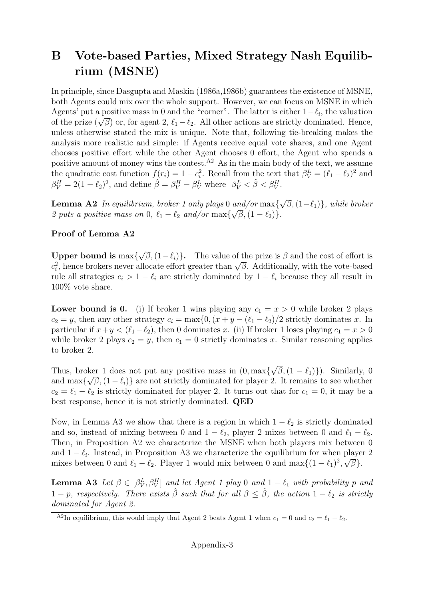### B Vote-based Parties, Mixed Strategy Nash Equilibrium (MSNE)

In principle, since Dasgupta and Maskin (1986a,1986b) guarantees the existence of MSNE, both Agents could mix over the whole support. However, we can focus on MSNE in which Agents' put a positive mass in 0 and the "corner". The latter is either  $1-\ell_i$ , the valuation Agents put a positive mass in 0 and the corner. The latter is either  $1 - \epsilon_i$ , the valuation<br>of the prize  $(\sqrt{\beta})$  or, for agent 2,  $\ell_1 - \ell_2$ . All other actions are strictly dominated. Hence, unless otherwise stated the mix is unique. Note that, following tie-breaking makes the analysis more realistic and simple: if Agents receive equal vote shares, and one Agent chooses positive effort while the other Agent chooses 0 effort, the Agent who spends a positive amount of money wins the contest.<sup> $A2$ </sup> As in the main body of the text, we assume the quadratic cost function  $f(r_i) = 1 - c_i^2$ . Recall from the text that  $\beta_V^L = (\ell_1 - \ell_2)^2$  and  $\beta_V^H = 2(1 - \ell_2)^2$ , and define  $\hat{\beta} = \beta_V^H - \beta_V^L$  where  $\beta_V^L < \hat{\beta} < \beta_V^H$ .

**Lemma A2** In equilibrium, broker 1 only plays 0 and/or max $\{$ √ and/or  $\max{\lbrace \sqrt{\beta}, (1-\ell_1) \rbrace}$ , while broker 2 puts a positive mass on 0,  $\ell_1 - \ell_2$  and/or  $\max{\{\sqrt{\beta}, (1 - \ell_2)\}}$ .

#### Proof of Lemma A2

Upper bound is max{ √  $\overline{\beta}$ ,  $(1-\ell_i)$ . The value of the prize is  $\beta$  and the cost of effort is **C** opper bound is max{ $\gamma$ *p*,  $(1 - \epsilon_i)$ }. The value of the prize is *p* and the cost of enot is  $c_i^2$ , hence brokers never allocate effort greater than  $\sqrt{\beta}$ . Additionally, with the vote-based rule all strategies  $c_i > 1 - \ell_i$  are strictly dominated by  $1 - \ell_i$  because they all result in 100% vote share.

**Lower bound is 0.** (i) If broker 1 wins playing any  $c_1 = x > 0$  while broker 2 plays  $c_2 = y$ , then any other strategy  $c_i = \max\{0, (x + y - (\ell_1 - \ell_2)/2 \text{ strictly dominates } x. \text{ In } \ell_1\}$ particular if  $x+y < (\ell_1-\ell_2)$ , then 0 dominates x. (ii) If broker 1 loses playing  $c_1 = x > 0$ while broker 2 plays  $c_2 = y$ , then  $c_1 = 0$  strictly dominates x. Similar reasoning applies to broker 2.

Thus, broker 1 does not put any positive mass in (0, max{ √ ker 1 does not put any positive mass in  $(0, \max{\{\sqrt{\beta}, (1 - \ell_1)\}})$ . Similarly, 0 and max $\{\sqrt{\beta},(1-\ell_i)\}\$ are not strictly dominated for player 2. It remains to see whether  $c_2 = \ell_1 - \ell_2$  is strictly dominated for player 2. It turns out that for  $c_1 = 0$ , it may be a best response, hence it is not strictly dominated. QED

Now, in Lemma A3 we show that there is a region in which  $1 - \ell_2$  is strictly dominated and so, instead of mixing between 0 and  $1 - \ell_2$ , player 2 mixes between 0 and  $\ell_1 - \ell_2$ . Then, in Proposition A2 we characterize the MSNE when both players mix between 0 and  $1 - \ell_i$ . Instead, in Proposition A3 we characterize the equilibrium for when player 2 mixes between 0 and  $\ell_1 - \ell_2$ . Player 1 would mix between 0 and max $\{(1 - \ell_1)^2, \sqrt{\beta}\}.$ 

**Lemma A3** Let  $\beta \in [\beta_V^L, \beta_V^H]$  and let Agent 1 play 0 and  $1 - \ell_1$  with probability p and  $1 - p$ , respectively. There exists  $\hat{\beta}$  such that for all  $\beta \leq \hat{\beta}$ , the action  $1 - \ell_2$  is strictly dominated for Agent 2.

<sup>&</sup>lt;sup>A2</sup>In equilibrium, this would imply that Agent 2 beats Agent 1 when  $c_1 = 0$  and  $c_2 = \ell_1 - \ell_2$ .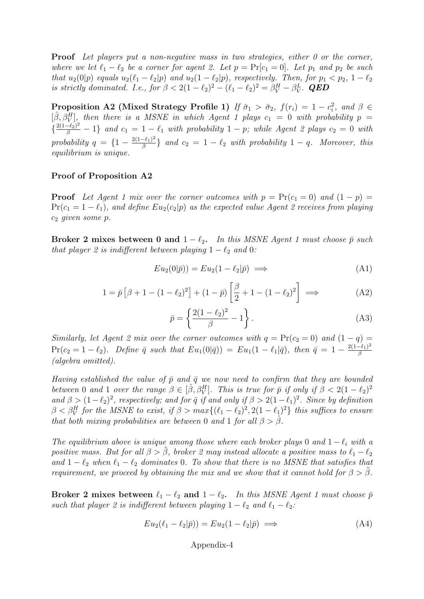Proof Let players put a non-negative mass in two strategies, either 0 or the corner, where we let  $\ell_1 - \ell_2$  be a corner for agent 2. Let  $p = Pr[c_1 = 0]$ . Let  $p_1$  and  $p_2$  be such that  $u_2(0|p)$  equals  $u_2(\ell_1 - \ell_2|p)$  and  $u_2(1 - \ell_2|p)$ , respectively. Then, for  $p_1 < p_2$ ,  $1 - \ell_2$ is strictly dominated. I.e., for  $\beta < 2(1 - \ell_2)^2 - (\ell_1 - \ell_2)^2 = \beta_V^H - \beta_V^L$ . QED

Proposition A2 (Mixed Strategy Profile 1) If  $\bar{\sigma}_1 > \bar{\sigma}_2$ ,  $f(r_i) = 1 - c_i^2$ , and  $\beta \in$  $[\hat{\beta}, \hat{\beta}^H_V]$ , then there is a MSNE in which Agent 1 plays  $c_1 = 0$  with probability  $p =$  $\{\frac{2(1-\ell_2)^2}{\beta}-1\}$  and  $c_1 = 1-\ell_1$  with probability  $1-p$ ; while Agent 2 plays  $c_2 = 0$  with probability  $q = \left\{1 - \frac{2(1-\ell_1)^2}{\beta}\right\}$  $\left\{\frac{-e_1}{\beta}\right\}$  and  $c_2 = 1 - \ell_2$  with probability  $1 - q$ . Moreover, this equilibrium is unique.

#### Proof of Proposition A2

**Proof** Let Agent 1 mix over the corner outcomes with  $p = Pr(c_1 = 0)$  and  $(1 - p) =$  $Pr(c_1 = 1 - \ell_1)$ , and define  $Eu_2(c_2|p)$  as the expected value Agent 2 receives from playing  $c_2$  given some  $p$ .

Broker 2 mixes between 0 and  $1 - \ell_2$ . In this MSNE Agent 1 must choose  $\bar{p}$  such that player 2 is indifferent between playing  $1 - \ell_2$  and 0:

$$
Eu_2(0|\bar{p})) = Eu_2(1 - \ell_2|\bar{p}) \implies (A1)
$$

$$
1 = \bar{p} \left[ \beta + 1 - (1 - \ell_2)^2 \right] + (1 - \bar{p}) \left[ \frac{\beta}{2} + 1 - (1 - \ell_2)^2 \right] \implies (A2)
$$

$$
\bar{p} = \left\{ \frac{2(1 - \ell_2)^2}{\beta} - 1 \right\}.
$$
 (A3)

Similarly, let Agent 2 mix over the corner outcomes with  $q = Pr(c_2 = 0)$  and  $(1 - q) =$  $Pr(c_2 = 1 - \ell_2)$ . Define  $\bar{q}$  such that  $Eu_1(0|\bar{q}) = Eu_1(1 - \ell_1|\bar{q})$ , then  $\bar{q} = 1 - \frac{2(1-\ell_1)^2}{\beta}$ β (algebra omitted).

Having established the value of  $\bar{p}$  and  $\bar{q}$  we now need to confirm that they are bounded between 0 and 1 over the range  $\beta \in [\hat{\beta}, \beta^H_V]$ . This is true for  $\bar{p}$  if only if  $\beta < 2(1 - \ell_2)^2$ and  $\beta > (1-\ell_2)^2$ , respectively; and for  $\bar{q}$  if and only if  $\beta > 2(1-\ell_1)^2$ . Since by definition  $\beta < \beta_V^H$  for the MSNE to exist, if  $\beta > max\{(\ell_1 - \ell_2)^2, 2(1 - \ell_1)^2\}$  this suffices to ensure that both mixing probabilities are between 0 and 1 for all  $\beta > \hat{\beta}$ .

The equilibrium above is unique among those where each broker plays 0 and  $1 - \ell_i$  with a positive mass. But for all  $\beta > \tilde{\beta}$ , broker 2 may instead allocate a positive mass to  $\ell_1 - \ell_2$ and  $1 - \ell_2$  when  $\ell_1 - \ell_2$  dominates 0. To show that there is no MSNE that satisfies that requirement, we proceed by obtaining the mix and we show that it cannot hold for  $\beta > \beta$ .

Broker 2 mixes between  $\ell_1 - \ell_2$  and  $1 - \ell_2$ . In this MSNE Agent 1 must choose  $\bar{p}$ such that player 2 is indifferent between playing  $1 - \ell_2$  and  $\ell_1 - \ell_2$ :

$$
Eu_2(\ell_1 - \ell_2|\bar{p})) = Eu_2(1 - \ell_2|\bar{p}) \implies (A4)
$$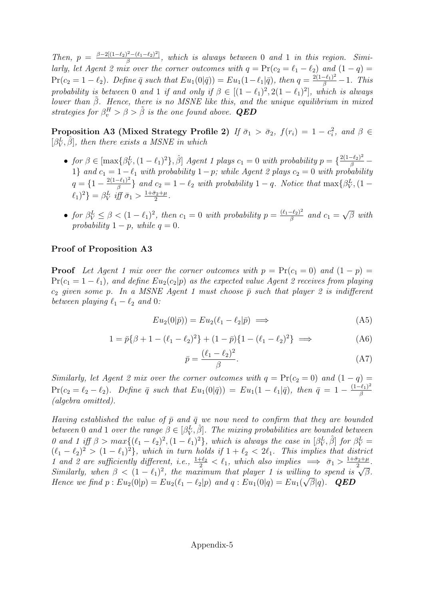Then,  $p = \frac{\beta - 2[(1-\ell_2)^2 - (\ell_1-\ell_2)^2]}{\beta}$  $\frac{S^2-(\ell_1-\ell_2)^2}{\beta}$ , which is always between 0 and 1 in this region. Similarly, let Agent 2 mix over the corner outcomes with  $q = Pr(c_2 = \ell_1 - \ell_2)$  and  $(1 - q) =$  $Pr(c_2 = 1 - \ell_2)$ . Define  $\bar{q}$  such that  $Eu_1(0|\bar{q}) = Eu_1(1 - \ell_1|\bar{q})$ , then  $q = \frac{2(1-\ell_1)^2}{\beta} - 1$ . This probability is between 0 and 1 if and only if  $\beta \in [(1 - \ell_1)^2, 2(1 - \ell_1)^2]$ , which is always lower than  $\tilde{\beta}$ . Hence, there is no MSNE like this, and the unique equilibrium in mixed strategies for  $\beta_v^H > \beta > \tilde{\beta}$  is the one found above. **QED** 

**Proposition A3 (Mixed Strategy Profile 2)** If  $\bar{\sigma}_1 > \bar{\sigma}_2$ ,  $f(r_i) = 1 - c_i^2$ , and  $\beta \in$  $[\beta_V^L, \hat{\beta}]$ , then there exists a MSNE in which

- for  $\beta \in [\max\{\beta_V^L, (1-\ell_1)^2\}, \hat{\beta}]$  Agent 1 plays  $c_1 = 0$  with probability  $p = \{\frac{2(1-\ell_2)^2}{\beta} \}$ 1} and  $c_1 = 1-\ell_1$  with probability  $1-p$ ; while Agent 2 plays  $c_2 = 0$  with probability  $q = \left\{1 - \frac{2(1-\ell_1)^2}{\beta}\right\}$  $\frac{(-\ell_1)^2}{\beta}$  and  $c_2 = 1 - \ell_2$  with probability  $1 - q$ . Notice that  $\max\{\beta_V^L, (1 - \ell_1)\}$  $\ell_1)^2$ } =  $\beta_V^L$  iff  $\bar{\sigma}_1 > \frac{1+\bar{\sigma}_2+\mu}{2}$  $\frac{\sigma_2+\mu}{2}$ .
- for  $\beta_V^L \leq \beta < (1 \ell_1)^2$ , then  $c_1 = 0$  with probability  $p = \frac{(\ell_1 \ell_2)^2}{\beta}$  $\frac{(-\ell_2)^2}{\beta}$  and  $c_1 =$ √  $\overline{\beta}$  with probability  $1 - p$ , while  $q = 0$ .

#### Proof of Proposition A3

**Proof** Let Agent 1 mix over the corner outcomes with  $p = Pr(c_1 = 0)$  and  $(1 - p) =$  $Pr(c_1 = 1 - \ell_1)$ , and define  $Eu_2(c_2|p)$  as the expected value Agent 2 receives from playing  $c_2$  given some p. In a MSNE Agent 1 must choose  $\bar{p}$  such that player 2 is indifferent between playing  $\ell_1 - \ell_2$  and 0:

$$
Eu_2(0|\bar{p})) = Eu_2(\ell_1 - \ell_2|\bar{p}) \implies \tag{A5}
$$

$$
1 = \bar{p}\{\beta + 1 - (\ell_1 - \ell_2)^2\} + (1 - \bar{p})\{1 - (\ell_1 - \ell_2)^2\} \implies (A6)
$$

$$
\bar{p} = \frac{(\ell_1 - \ell_2)^2}{\beta}.\tag{A7}
$$

Similarly, let Agent 2 mix over the corner outcomes with  $q = Pr(c_2 = 0)$  and  $(1 - q) =$  $Pr(c_2 = \ell_2 - \ell_2)$ . Define  $\bar{q}$  such that  $Eu_1(0|\bar{q}) = Eu_1(1 - \ell_1|\bar{q})$ , then  $\bar{q} = 1 - \frac{(1-\ell_1)^2}{\beta}$ β (algebra omitted).

Having established the value of  $\bar{p}$  and  $\bar{q}$  we now need to confirm that they are bounded between 0 and 1 over the range  $\beta \in [\beta_V^L, \hat{\beta}]$ . The mixing probabilities are bounded between 0 and 1 iff  $\beta > max\{(\ell_1 - \ell_2)^2, (1 - \ell_1)^2\}$ , which is always the case in  $[\beta_V^L, \hat{\beta}]$  for  $\beta_V^L =$  $(\ell_1 - \ell_2)^2 > (1 - \ell_1)^2$ , which in turn holds if  $1 + \ell_2 < 2\ell_1$ . This implies that district 1 and 2 are sufficiently different, i.e.,  $\frac{1+\ell_2}{2} < \ell_1$ , which also implies  $\implies \bar{\sigma}_1 > \frac{1+\bar{\sigma}_2+\mu_1}{2}$  $\frac{\frac{\sigma_2+\mu}{2}}{2}$ . T and z are sufficiently at general, i.e.,  $\frac{1}{2} < t_1$ , which also implies  $\implies 0_1 > \frac{1}{2}$ .<br>Similarly, when  $\beta < (1 - t_1)^2$ , the maximum that player 1 is willing to spend is  $\sqrt{\beta}$ . Hence we find  $p: Eu_2(0|p) = Eu_2(\ell_1 - \ell_2|p)$  and  $q: Eu_1(0|q) = Eu_1(\sqrt{\beta}|q)$ . **QED**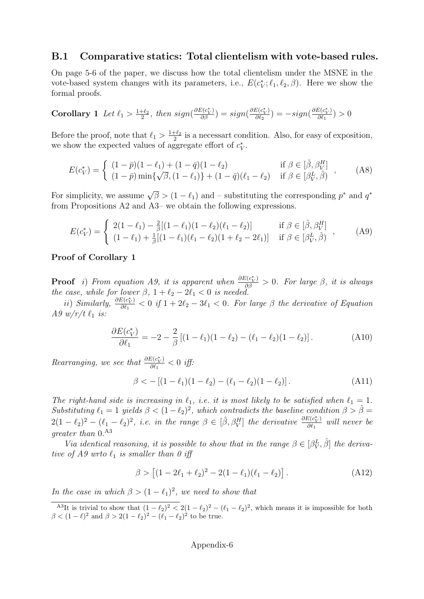#### B.1 Comparative statics: Total clientelism with vote-based rules.

On page 5-6 of the paper, we discuss how the total clientelism under the MSNE in the vote-based system changes with its parameters, i.e.,  $E(c_V^*; \ell_1, \ell_2, \beta)$ . Here we show the formal proofs.

Corollary 1 Let 
$$
\ell_1 > \frac{1+\ell_2}{2}
$$
, then  $sign(\frac{\partial E(c_V^*)}{\partial \beta}) = sign(\frac{\partial E(c_V^*)}{\partial \ell_2}) = -sign(\frac{\partial E(c_V^*)}{\partial \ell_1}) > 0$ 

Before the proof, note that  $\ell_1 > \frac{1+\ell_2}{2}$  $\frac{1+\ell_2}{2}$  is a necessart condition. Also, for easy of exposition, we show the expected values of aggregate effort of  $c_V^*$ .

$$
E(c_V^*) = \begin{cases} (1 - \bar{p})(1 - \ell_1) + (1 - \bar{q})(1 - \ell_2) & \text{if } \beta \in [\hat{\beta}, \beta_V^H] \\ (1 - \bar{p}) \min{\{\sqrt{\beta}, (1 - \ell_1)\} + (1 - \bar{q})(\ell_1 - \ell_2)} & \text{if } \beta \in [\beta_V^L, \hat{\beta}) \end{cases}, \tag{A8}
$$

For simplicity, we assume  $\sqrt{\beta} > (1 - \ell_1)$  and – substituting the corresponding  $p^*$  and  $q^*$ from Propositions A2 and A3– we obtain the following expressions.

$$
E(c_V^*) = \begin{cases} 2(1 - \ell_1) - \frac{2}{\beta}[(1 - \ell_1)(1 - \ell_2)(\ell_1 - \ell_2)] & \text{if } \beta \in [\hat{\beta}, \beta_V^H] \\ (1 - \ell_1) + \frac{1}{\beta}[(1 - \ell_1)(\ell_1 - \ell_2)(1 + \ell_2 - 2\ell_1)] & \text{if } \beta \in [\beta_V^L, \hat{\beta}) \end{cases}, \tag{A9}
$$

#### Proof of Corollary 1

**Proof** i) From equation A9, it is apparent when  $\frac{\partial E(c^*_{V})}{\partial \beta} > 0$ . For large  $\beta$ , it is always the case, while for lower  $\beta$ ,  $1 + \ell_2 - 2\ell_1 < 0$  is needed.

ii) Similarly,  $\frac{\partial E(c_V^*)}{\partial \ell_V}$  $\frac{\partial^2 C_{V}}{\partial \ell_1} < 0$  if  $1 + 2\ell_2 - 3\ell_1 < 0$ . For large  $\beta$  the derivative of Equation A9  $w/r/t \ell_1$  is:

$$
\frac{\partial E(c_V^*)}{\partial \ell_1} = -2 - \frac{2}{\beta} \left[ (1 - \ell_1)(1 - \ell_2) - (\ell_1 - \ell_2)(1 - \ell_2) \right]. \tag{A10}
$$

Rearranging, we see that  $\frac{\partial E(c_V^*)}{\partial \ell_1}$  $\frac{\partial^2 (C_V)}{\partial \ell_1} < 0$  iff:

$$
\beta < -[(1 - \ell_1)(1 - \ell_2) - (\ell_1 - \ell_2)(1 - \ell_2)]. \tag{A11}
$$

The right-hand side is increasing in  $\ell_1$ , i.e. it is most likely to be satisfied when  $\ell_1 = 1$ . Substituting  $\ell_1 = 1$  yields  $\beta < (1 - \ell_2)^2$ , which contradicts the baseline condition  $\beta > \hat{\beta} =$  $2(1 - \ell_2)^2 - (\ell_1 - \ell_2)^2$ , i.e. in the range  $\beta \in [\hat{\beta}, \beta^H_V]$  the derivative  $\frac{\partial E(c_V^*)}{\partial \ell_1}$  $\frac{\partial^2 (c_V)}{\partial \ell_1}$  will never be greater than  $0.^{A3}$ 

Via identical reasoning, it is possible to show that in the range  $\beta \in [\beta_V^L, \hat{\beta}]$  the derivative of A9 wrto  $\ell_1$  is smaller than 0 iff

$$
\beta > [(1 - 2\ell_1 + \ell_2)^2 - 2(1 - \ell_1)(\ell_1 - \ell_2)]. \tag{A12}
$$

In the case in which  $\beta > (1 - \ell_1)^2$ , we need to show that

<sup>&</sup>lt;sup>A3</sup>It is trivial to show that  $(1 - \ell_2)^2 < 2(1 - \ell_2)^2 - (\ell_1 - \ell_2)^2$ , which means it is impossible for both  $\beta < (1 - \ell)^2$  and  $\beta > 2(1 - \ell_2)^2 - (\ell_1 - \ell_2)^2$  to be true.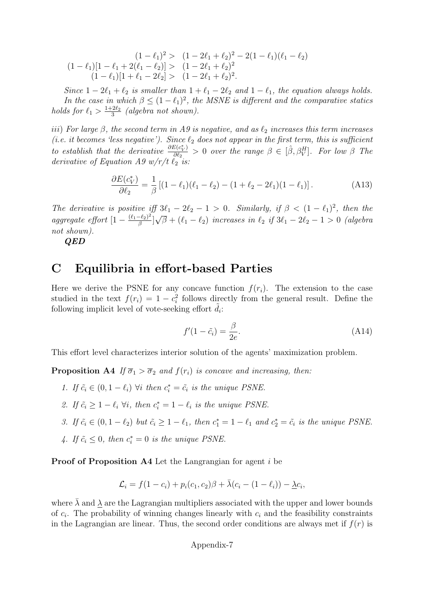$$
(1 - \ell_1)^2 > (1 - 2\ell_1 + \ell_2)^2 - 2(1 - \ell_1)(\ell_1 - \ell_2)
$$
  
\n
$$
(1 - \ell_1)[1 - \ell_1 + 2(\ell_1 - \ell_2)] > (1 - 2\ell_1 + \ell_2)^2
$$
  
\n
$$
(1 - \ell_1)[1 + \ell_1 - 2\ell_2] > (1 - 2\ell_1 + \ell_2)^2.
$$

Since  $1 - 2\ell_1 + \ell_2$  is smaller than  $1 + \ell_1 - 2\ell_2$  and  $1 - \ell_1$ , the equation always holds. In the case in which  $\beta \leq (1 - \ell_1)^2$ , the MSNE is different and the comparative statics holds for  $\ell_1 > \frac{1+2\ell_2}{3}$  $\frac{2\ell_2}{3}$  (algebra not shown).

iii) For large  $\beta$ , the second term in A9 is negative, and as  $\ell_2$  increases this term increases (i.e. it becomes 'less negative'). Since  $\ell_2$  does not appear in the first term, this is sufficient to establish that the derivative  $\frac{\partial E(c^*_{V})}{\partial \ell_{P}}$  $\frac{\partial \bar{\mathcal{E}}(c^*_{V})}{\partial \ell_2} > 0$  over the range  $\beta \in [\hat{\beta}, \beta^H_V]$ . For low  $\beta$  The derivative of Equation A9  $w/r/t$   $\ell_2$  is:

$$
\frac{\partial E(c_V^*)}{\partial \ell_2} = \frac{1}{\beta} \left[ (1 - \ell_1)(\ell_1 - \ell_2) - (1 + \ell_2 - 2\ell_1)(1 - \ell_1) \right]. \tag{A13}
$$

The derivative is positive iff  $3\ell_1 - 2\ell_2 - 1 > 0$ . Similarly, if  $\beta < (1 - \ell_1)^2$ , then the aggregate effort  $[1 - \frac{(\ell_1 - \ell_2)^2}{\beta}]$  $\frac{-\ell_2)^2}{\beta}$ ] √  $\overline{\beta} + (\ell_1 - \ell_2)$  increases in  $\ell_2$  if  $3\ell_1 - 2\ell_2 - 1 > 0$  (algebra not shown).

 $QED$ 

### C Equilibria in effort-based Parties

Here we derive the PSNE for any concave function  $f(r_i)$ . The extension to the case studied in the text  $f(r_i) = 1 - c_i^2$  follows directly from the general result. Define the following implicit level of vote-seeking effort  $\tilde{d}_i$ :

$$
f'(1 - \tilde{c}_i) = \frac{\beta}{2e}.\tag{A14}
$$

This effort level characterizes interior solution of the agents' maximization problem.

**Proposition A4** If  $\overline{\sigma}_1 > \overline{\sigma}_2$  and  $f(r_i)$  is concave and increasing, then:

- 1. If  $\tilde{c}_i \in (0, 1 \ell_i)$   $\forall i$  then  $c_i^* = \tilde{c}_i$  is the unique PSNE.
- 2. If  $\tilde{c}_i \geq 1 \ell_i \ \forall i$ , then  $c_i^* = 1 \ell_i$  is the unique PSNE.
- 3. If  $\tilde{c}_i \in (0, 1 \ell_2)$  but  $\tilde{c}_i \ge 1 \ell_1$ , then  $c_1^* = 1 \ell_1$  and  $c_2^* = \tilde{c}_i$  is the unique PSNE.
- 4. If  $\tilde{c}_i \leq 0$ , then  $c_i^* = 0$  is the unique PSNE.

Proof of Proposition A4 Let the Langrangian for agent *i* be

$$
\mathcal{L}_i = f(1-c_i) + p_i(c_1,c_2)\beta + \bar{\lambda}(c_i - (1-\ell_i)) - \underline{\lambda}c_i,
$$

where  $\bar{\lambda}$  and  $\underline{\lambda}$  are the Lagrangian multipliers associated with the upper and lower bounds of  $c_i$ . The probability of winning changes linearly with  $c_i$  and the feasibility constraints in the Lagrangian are linear. Thus, the second order conditions are always met if  $f(r)$  is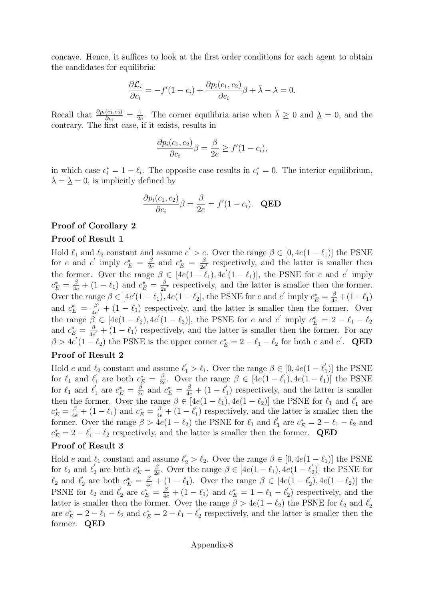concave. Hence, it suffices to look at the first order conditions for each agent to obtain the candidates for equilibria:

$$
\frac{\partial \mathcal{L}_i}{\partial c_i} = -f'(1 - c_i) + \frac{\partial p_i(c_1, c_2)}{\partial c_i} \beta + \bar{\lambda} - \underline{\lambda} = 0.
$$

Recall that  $\frac{\partial p_i(c_1,c_2)}{\partial c_i} = \frac{1}{2e}$  $\frac{1}{2e}$ . The corner equilibria arise when  $\bar{\lambda} \geq 0$  and  $\bar{\lambda} = 0$ , and the contrary. The first case, if it exists, results in

$$
\frac{\partial p_i(c_1, c_2)}{\partial c_i} \beta = \frac{\beta}{2e} \ge f'(1 - c_i),
$$

in which case  $c_i^* = 1 - \ell_i$ . The opposite case results in  $c_i^* = 0$ . The interior equilibrium,  $\lambda = \lambda = 0$ , is implicitly defined by

$$
\frac{\partial p_i(c_1, c_2)}{\partial c_i} \beta = \frac{\beta}{2e} = f'(1 - c_i). \quad \text{QED}
$$

#### Proof of Corollary 2

#### Proof of Result 1

Hold  $\ell_1$  and  $\ell_2$  constant and assume  $e' > e$ . Over the range  $\beta \in [0, 4e(1 - \ell_1)]$  the PSNE for e and e' imply  $c_E^* = \frac{\beta}{2e}$  $\frac{\beta}{2e}$  and  $c_E^* = \frac{\beta}{2e}$  $\frac{\beta}{2e'}$  respectively, and the latter is smaller then the former. Over the range  $\beta \in [4e(1-\ell_1), 4e'(1-\ell_1)]$ , the PSNE for e and e' imply  $c_E^* = \frac{\beta}{4e} + (1 - \ell_1)$  and  $c_E^* = \frac{\beta}{2e}$  $\frac{\beta}{2e'}$  respectively, and the latter is smaller then the former. Over the range  $\beta \in [4e'(1 - \ell_1), 4e(1 - \ell_2],$  the PSNE for e and  $e'$  imply  $c_E^* = \frac{\beta}{4e} + (1 - \ell_1)$ and  $c_E^* = \frac{\beta}{4e}$  $\frac{\beta}{4e'} + (1 - \ell_1)$  respectively, and the latter is smaller then the former. Over the range  $\tilde{\beta} \in [4e(1-\ell_2), 4e'(1-\ell_2)],$  the PSNE for e and e' imply  $c_E^* = 2 - \ell_1 - \ell_2$ and  $c_E^* = \frac{\beta}{4e}$  $\frac{\beta}{4e'} + (1 - \ell_1)$  respectively, and the latter is smaller then the former. For any  $\beta > 4e'(1-\ell_2)$  the PSNE is the upper corner  $c_E^* = 2 - \ell_1 - \ell_2$  for both e and e'. QED

#### Proof of Result 2

Hold e and  $\ell_2$  constant and assume  $\ell'_1 > \ell_1$ . Over the range  $\beta \in [0, 4e(1 - \ell'_1)]$  $_1^{\prime})]$  the PSNE for  $\ell_1$  and  $\ell'_1$  $c_L^* = \frac{\beta}{2\epsilon}$  $\frac{\beta}{2e}$ . Over the range  $\beta \in [4e(1-\ell)]$  $t_1$ , 4 $e(1 - \ell_1)$  the PSNE for  $\ell_1$  and  $\ell'_1$  $\frac{\beta}{1}$  are  $c_E^* = \frac{\beta}{2\epsilon}$  $\frac{\beta}{2e}$  and  $c_E^* = \frac{\beta}{4e} + (1 - \ell)$ 1 ) respectively, and the latter is smaller then the former. Over the range  $\beta \in [4e(1 - \ell_1), 4e(1 - \ell_2)]$  the PSNE for  $\ell_1$  and  $\ell'_1$  $r_1'$  are  $c_E^* = \frac{\beta}{4e} + (1 - \ell_1)$  and  $c_E^* = \frac{\beta}{4e} + (1 - \ell_1')$  $\binom{1}{1}$  respectively, and the latter is smaller then the former. Over the range  $\beta > 4e(1 - \ell_2)$  the PSNE for  $\ell_1$  and  $\ell'_1$  $c_L^* = 2 - \ell_1 - \ell_2$  and  $c_E^* = 2 - \ell_1' - \ell_2$  respectively, and the latter is smaller then the former. QED

#### Proof of Result 3

Hold e and  $\ell_1$  constant and assume  $\ell_2 > \ell_2$ . Over the range  $\beta \in [0, 4e(1 - \ell_1)]$  the PSNE for  $\ell_2$  and  $\ell_2'$  $c'_2$  are both  $c_E^* = \frac{\beta}{2e}$  $\frac{\beta}{2e}$ . Over the range  $\beta \in [4e(1-\ell_1), 4e(1-\ell_2)]$  $_2')$  the PSNE for  $\ell_2$  and  $\ell_2'$ <sup>'</sup><sub>2</sub> are both  $c_E^* = \frac{\beta}{4e} + (1 - \ell_1)$ . Over the range  $\beta \in [4e(1 - \ell_2])$  $\binom{1}{2}$ , 4e(1 –  $\ell_2$ ) the PSNE for  $\ell_2$  and  $\ell'_2$  $c_{\mathcal{L}}^*$  are  $c_{\mathcal{L}}^* = \frac{\beta}{4e} + (1 - \ell_1)$  and  $c_{\mathcal{L}}^* = 1 - \ell_1 - \ell_2'$  $y_2$ ) respectively, and the latter is smaller then the former. Over the range  $\beta > 4e(1 - \ell_2)$  the PSNE for  $\ell_2$  and  $\ell_2'$ 2 are  $c_E^* = 2 - \ell_1 - \ell_2$  and  $c_E^* = 2 - \ell_1 - \ell_2'$  $y_2$  respectively, and the latter is smaller then the former. QED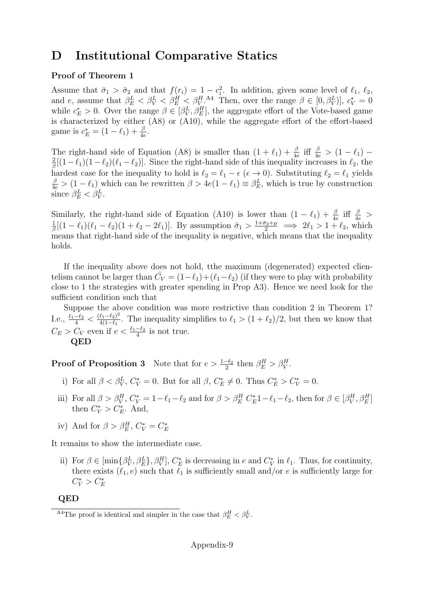### D Institutional Comparative Statics

#### Proof of Theorem 1

Assume that  $\bar{\sigma}_1 > \bar{\sigma}_2$  and that  $f(r_i) = 1 - c_i^2$ . In addition, given some level of  $\ell_1, \ell_2$ , and e, assume that  $\beta_E^L < \beta_V^L < \beta_E^H < \beta_V^H$ .<sup>A4</sup> Then, over the range  $\beta \in [0, \beta_V^L]$ ,  $c_V^* = 0$ while  $c_E^* > 0$ . Over the range  $\beta \in [\beta_V^L, \beta_E^H]$ , the aggregate effort of the Vote-based game is characterized by either (A8) or (A10), while the aggregate effort of the effort-based game is  $c_E^* = (1 - \ell_1) + \frac{\beta}{4e}$ .

The right-hand side of Equation (A8) is smaller than  $(1 + \ell_1) + \frac{\beta}{4e}$  iff  $\frac{\beta}{4e} > (1 - \ell_1) - \frac{2}{4}[(1 - \ell_1)(1 - \ell_2)(\ell_1 - \ell_2)]$ . Since the right hand side of this inequality increases in  $\ell_1$ , the  $\frac{2}{\beta}[(1-\ell_1)(1-\ell_2)(\ell_1-\ell_2)]$ . Since the right-hand side of this inequality increases in  $\ell_2$ , the hardest case for the inequality to hold is  $\ell_2 = \ell_1 - \epsilon$  ( $\epsilon \to 0$ ). Substituting  $\ell_2 = \ell_1$  yields  $\frac{\beta}{4e} > (1 - \ell_1)$  which can be rewritten  $\beta > 4e(1 - \ell_1) \equiv \beta_E^L$ , which is true by construction since  $\beta_E^L < \beta_V^L$ .

Similarly, the right-hand side of Equation (A10) is lower than  $(1 - \ell_1) + \frac{\beta}{4e}$  iff  $\frac{\beta}{4e}$ 1  $\frac{1}{\beta}[(1-\ell_1)(\ell_1-\ell_2)(1+\ell_2-2\ell_1)]$ . By assumption  $\bar{\sigma}_1 > \frac{1+\bar{\sigma}_2+\mu}{2} \implies 2\ell_1 > 1+\ell_2$ , which means that right-hand side of the inequality is negative, which means that the inequality holds.

If the inequality above does not hold, tthe maximum (degenerated) expected clientelism cannot be larger than  $\bar{C}_V = (1 - \ell_1) + (\ell_1 - \ell_2)$  (if they were to play with probability close to 1 the strategies with greater spending in Prop A3). Hence we need look for the sufficient condition such that

Suppose the above condition was more restrictive than condition 2 in Theorem 1? I.e.,  $\frac{\ell_1 - \ell_2}{4} < \frac{(\ell_1 - \ell_2)^2}{4(1 - \ell_1)}$  $\frac{\ell_1 - \ell_2}{4(1 - \ell_1)}$ . The inequality simplifies to  $\ell_1 > (1 + \ell_2)/2$ , but then we know that  $C_E > C_V$  even if  $e < \frac{\ell_1 - \ell_2}{4}$  is not true.

QED

**Proof of Proposition 3** Note that for  $e > \frac{1-\ell_2}{2}$  then  $\beta_E^H > \beta_V^H$ .

- i) For all  $\beta < \beta_V^L$ ,  $C_V^* = 0$ . But for all  $\beta$ ,  $C_E^* \neq 0$ . Thus  $C_E^* > C_V^* = 0$ .
- iii) For all  $\beta > \beta_V^H$ ,  $C_V^* = 1 \ell_1 \ell_2$  and for  $\beta > \beta_E^H C_E^* 1 \ell_1 \ell_2$ , then for  $\beta \in [\beta_V^H, \beta_E^H]$ then  $C_V^* > C_E^*$ . And,
- iv) And for  $\beta > \beta_E^H$ ,  $C_V^* = C_E^*$

It remains to show the intermediate case.

ii) For  $\beta \in [\min\{\beta_V^L, \beta_E^L\}, \beta_V^H], C_E^*$  is decreasing in e and  $C_V^*$  in  $\ell_1$ . Thus, for continuity, there exists  $(\ell_1, e)$  such that  $\ell_1$  is sufficiently small and/or e is sufficiently large for  $C_V^* > C_E^*$ 

QED

<sup>&</sup>lt;sup>A4</sup>The proof is identical and simpler in the case that  $\beta_E^H < \beta_V^L$ .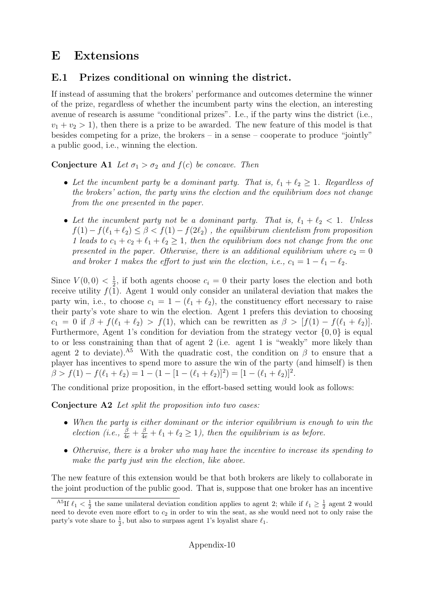### E Extensions

### E.1 Prizes conditional on winning the district.

If instead of assuming that the brokers' performance and outcomes determine the winner of the prize, regardless of whether the incumbent party wins the election, an interesting avenue of research is assume "conditional prizes". I.e., if the party wins the district (i.e.,  $v_1 + v_2 > 1$ , then there is a prize to be awarded. The new feature of this model is that besides competing for a prize, the brokers – in a sense – cooperate to produce "jointly" a public good, i.e., winning the election.

### **Conjecture A1** Let  $\sigma_1 > \sigma_2$  and  $f(c)$  be concave. Then

- Let the incumbent party be a dominant party. That is,  $\ell_1 + \ell_2 \geq 1$ . Regardless of the brokers' action, the party wins the election and the equilibrium does not change from the one presented in the paper.
- Let the incumbent party not be a dominant party. That is,  $\ell_1 + \ell_2 < 1$ . Unless  $f(1) - f(\ell_1 + \ell_2) \leq \beta < f(1) - f(2\ell_2)$ , the equilibirum clientelism from proposition 1 leads to  $c_1 + c_2 + \ell_1 + \ell_2 \geq 1$ , then the equilibrium does not change from the one presented in the paper. Otherwise, there is an additional equilibrium where  $c_2 = 0$ and broker 1 makes the effort to just win the election, i.e.,  $c_1 = 1 - \ell_1 - \ell_2$ .

Since  $V(0,0) < \frac{1}{2}$  $\frac{1}{2}$ , if both agents choose  $c_i = 0$  their party loses the election and both receive utility  $f(1)$ . Agent 1 would only consider an unilateral deviation that makes the party win, i.e., to choose  $c_1 = 1 - (\ell_1 + \ell_2)$ , the constituency effort necessary to raise their party's vote share to win the election. Agent 1 prefers this deviation to choosing  $c_1 = 0$  if  $\beta + f(\ell_1 + \ell_2) > f(1)$ , which can be rewritten as  $\beta > [f(1) - f(\ell_1 + \ell_2)].$ Furthermore, Agent 1's condition for deviation from the strategy vector  $\{0,0\}$  is equal to or less constraining than that of agent 2 (i.e. agent 1 is "weakly" more likely than agent 2 to deviate).<sup>A5</sup> With the quadratic cost, the condition on  $\beta$  to ensure that a player has incentives to spend more to assure the win of the party (and himself) is then  $\beta > f(1) - f(\ell_1 + \ell_2) = 1 - (1 - [1 - (\ell_1 + \ell_2)]^2) = [1 - (\ell_1 + \ell_2)]^2.$ 

The conditional prize proposition, in the effort-based setting would look as follows:

Conjecture A2 Let split the proposition into two cases:

- When the party is either dominant or the interior equilibrium is enough to win the election (i.e.,  $\frac{\beta}{4e} + \frac{\beta}{4e} + \ell_1 + \ell_2 \ge 1$ ), then the equilibrium is as before.
- Otherwise, there is a broker who may have the incentive to increase its spending to make the party just win the election, like above.

The new feature of this extension would be that both brokers are likely to collaborate in the joint production of the public good. That is, suppose that one broker has an incentive

<sup>&</sup>lt;sup>A5</sup>If  $\ell_1 < \frac{1}{2}$  the same unilateral deviation condition applies to agent 2; while if  $\ell_1 \geq \frac{1}{2}$  agent 2 would need to devote even more effort to  $c_2$  in order to win the seat, as she would need not to only raise the party's vote share to  $\frac{1}{2}$ , but also to surpass agent 1's loyalist share  $\ell_1$ .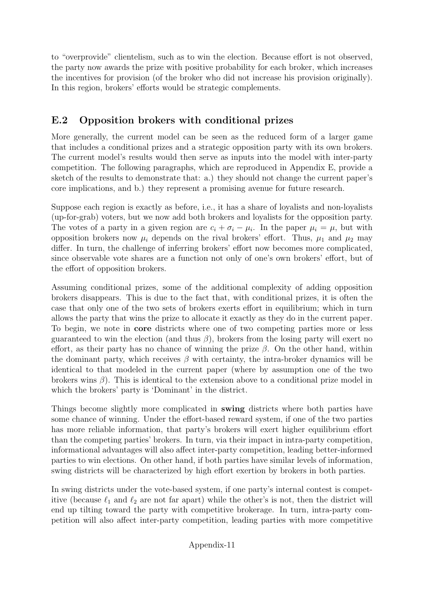to "overprovide" clientelism, such as to win the election. Because effort is not observed, the party now awards the prize with positive probability for each broker, which increases the incentives for provision (of the broker who did not increase his provision originally). In this region, brokers' efforts would be strategic complements.

### E.2 Opposition brokers with conditional prizes

More generally, the current model can be seen as the reduced form of a larger game that includes a conditional prizes and a strategic opposition party with its own brokers. The current model's results would then serve as inputs into the model with inter-party competition. The following paragraphs, which are reproduced in Appendix E, provide a sketch of the results to demonstrate that: a.) they should not change the current paper's core implications, and b.) they represent a promising avenue for future research.

Suppose each region is exactly as before, i.e., it has a share of loyalists and non-loyalists (up-for-grab) voters, but we now add both brokers and loyalists for the opposition party. The votes of a party in a given region are  $c_i + \sigma_i - \mu_i$ . In the paper  $\mu_i = \mu$ , but with opposition brokers now  $\mu_i$  depends on the rival brokers' effort. Thus,  $\mu_1$  and  $\mu_2$  may differ. In turn, the challenge of inferring brokers' effort now becomes more complicated, since observable vote shares are a function not only of one's own brokers' effort, but of the effort of opposition brokers.

Assuming conditional prizes, some of the additional complexity of adding opposition brokers disappears. This is due to the fact that, with conditional prizes, it is often the case that only one of the two sets of brokers exerts effort in equilibrium; which in turn allows the party that wins the prize to allocate it exactly as they do in the current paper. To begin, we note in core districts where one of two competing parties more or less guaranteed to win the election (and thus  $\beta$ ), brokers from the losing party will exert no effort, as their party has no chance of winning the prize  $\beta$ . On the other hand, within the dominant party, which receives  $\beta$  with certainty, the intra-broker dynamics will be identical to that modeled in the current paper (where by assumption one of the two brokers wins  $\beta$ ). This is identical to the extension above to a conditional prize model in which the brokers' party is 'Dominant' in the district.

Things become slightly more complicated in **swing** districts where both parties have some chance of winning. Under the effort-based reward system, if one of the two parties has more reliable information, that party's brokers will exert higher equilibrium effort than the competing parties' brokers. In turn, via their impact in intra-party competition, informational advantages will also affect inter-party competition, leading better-informed parties to win elections. On other hand, if both parties have similar levels of information, swing districts will be characterized by high effort exertion by brokers in both parties.

In swing districts under the vote-based system, if one party's internal contest is competitive (because  $\ell_1$  and  $\ell_2$  are not far apart) while the other's is not, then the district will end up tilting toward the party with competitive brokerage. In turn, intra-party competition will also affect inter-party competition, leading parties with more competitive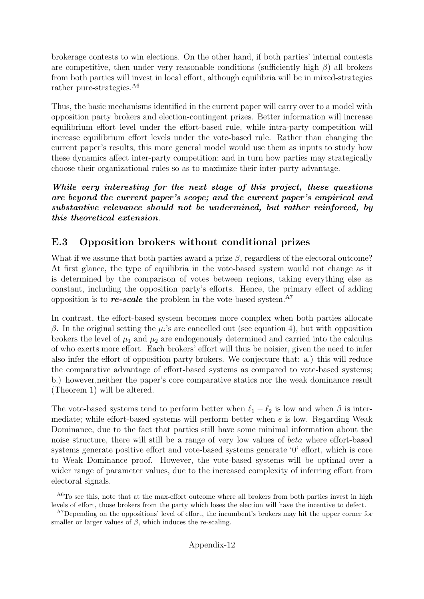brokerage contests to win elections. On the other hand, if both parties' internal contests are competitive, then under very reasonable conditions (sufficiently high  $\beta$ ) all brokers from both parties will invest in local effort, although equilibria will be in mixed-strategies rather pure-strategies.<sup>A6</sup>

Thus, the basic mechanisms identified in the current paper will carry over to a model with opposition party brokers and election-contingent prizes. Better information will increase equilibrium effort level under the effort-based rule, while intra-party competition will increase equilibrium effort levels under the vote-based rule. Rather than changing the current paper's results, this more general model would use them as inputs to study how these dynamics affect inter-party competition; and in turn how parties may strategically choose their organizational rules so as to maximize their inter-party advantage.

While very interesting for the next stage of this project, these questions are beyond the current paper's scope; and the current paper's empirical and substantive relevance should not be undermined, but rather reinforced, by this theoretical extension.

### E.3 Opposition brokers without conditional prizes

What if we assume that both parties award a prize  $\beta$ , regardless of the electoral outcome? At first glance, the type of equilibria in the vote-based system would not change as it is determined by the comparison of votes between regions, taking everything else as constant, including the opposition party's efforts. Hence, the primary effect of adding opposition is to *re-scale* the problem in the vote-based system.<sup>A7</sup>

In contrast, the effort-based system becomes more complex when both parties allocate β. In the original setting the  $\mu_i$ 's are cancelled out (see equation 4), but with opposition brokers the level of  $\mu_1$  and  $\mu_2$  are endogenously determined and carried into the calculus of who exerts more effort. Each brokers' effort will thus be noisier, given the need to infer also infer the effort of opposition party brokers. We conjecture that: a.) this will reduce the comparative advantage of effort-based systems as compared to vote-based systems; b.) however,neither the paper's core comparative statics nor the weak dominance result (Theorem 1) will be altered.

The vote-based systems tend to perform better when  $\ell_1 - \ell_2$  is low and when  $\beta$  is intermediate; while effort-based systems will perform better when  $e$  is low. Regarding Weak Dominance, due to the fact that parties still have some minimal information about the noise structure, there will still be a range of very low values of beta where effort-based systems generate positive effort and vote-based systems generate '0' effort, which is core to Weak Dominance proof. However, the vote-based systems will be optimal over a wider range of parameter values, due to the increased complexity of inferring effort from electoral signals.

 $^{A6}$ To see this, note that at the max-effort outcome where all brokers from both parties invest in high levels of effort, those brokers from the party which loses the election will have the incentive to defect.

<sup>&</sup>lt;sup>A7</sup>Depending on the oppositions' level of effort, the incumbent's brokers may hit the upper corner for smaller or larger values of  $\beta$ , which induces the re-scaling.